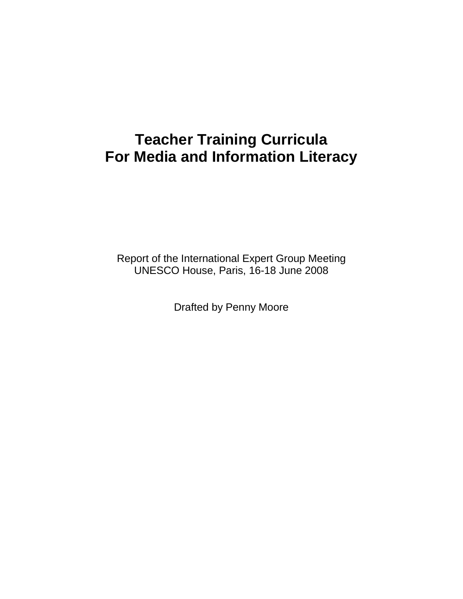# **Teacher Training Curricula For Media and Information Literacy**

Report of the International Expert Group Meeting UNESCO House, Paris, 16-18 June 2008

Drafted by Penny Moore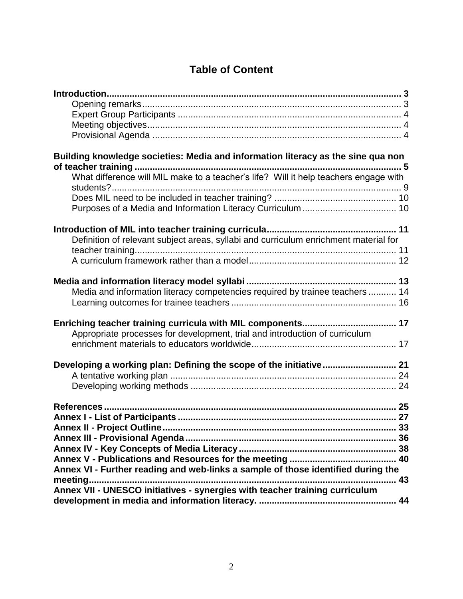# **Table of Content**

| Building knowledge societies: Media and information literacy as the sine qua non<br>What difference will MIL make to a teacher's life? Will it help teachers engage with |  |
|--------------------------------------------------------------------------------------------------------------------------------------------------------------------------|--|
| Definition of relevant subject areas, syllabi and curriculum enrichment material for                                                                                     |  |
| Media and information literacy competencies required by trainee teachers  14                                                                                             |  |
| Appropriate processes for development, trial and introduction of curriculum                                                                                              |  |
|                                                                                                                                                                          |  |
| Annex VI - Further reading and web-links a sample of those identified during the                                                                                         |  |
| meeting.<br>Annex VII - UNESCO initiatives - synergies with teacher training curriculum                                                                                  |  |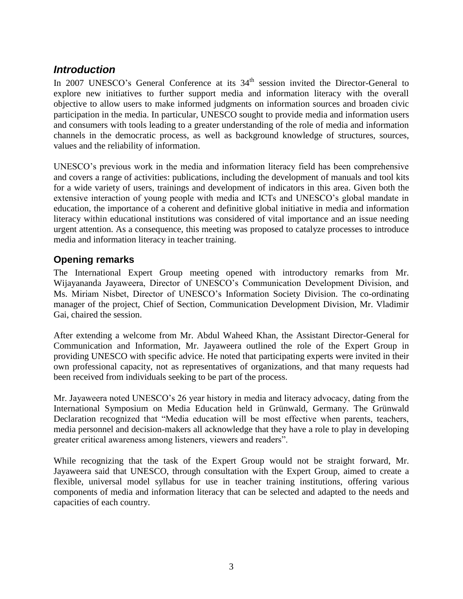# <span id="page-2-0"></span>*Introduction*

In 2007 UNESCO's General Conference at its 34<sup>th</sup> session invited the Director-General to explore new initiatives to further support media and information literacy with the overall objective to allow users to make informed judgments on information sources and broaden civic participation in the media. In particular, UNESCO sought to provide media and information users and consumers with tools leading to a greater understanding of the role of media and information channels in the democratic process, as well as background knowledge of structures, sources, values and the reliability of information.

UNESCO's previous work in the media and information literacy field has been comprehensive and covers a range of activities: publications, including the development of manuals and tool kits for a wide variety of users, trainings and development of indicators in this area. Given both the extensive interaction of young people with media and ICTs and UNESCO's global mandate in education, the importance of a coherent and definitive global initiative in media and information literacy within educational institutions was considered of vital importance and an issue needing urgent attention. As a consequence, this meeting was proposed to catalyze processes to introduce media and information literacy in teacher training.

## <span id="page-2-1"></span>**Opening remarks**

The International Expert Group meeting opened with introductory remarks from Mr. Wijayananda Jayaweera, Director of UNESCO's Communication Development Division, and Ms. Miriam Nisbet, Director of UNESCO's Information Society Division. The co-ordinating manager of the project, Chief of Section, Communication Development Division, Mr. Vladimir Gai, chaired the session.

After extending a welcome from Mr. Abdul Waheed Khan, the Assistant Director-General for Communication and Information, Mr. Jayaweera outlined the role of the Expert Group in providing UNESCO with specific advice. He noted that participating experts were invited in their own professional capacity, not as representatives of organizations, and that many requests had been received from individuals seeking to be part of the process.

Mr. Jayaweera noted UNESCO's 26 year history in media and literacy advocacy, dating from the International Symposium on Media Education held in Grünwald, Germany. The Grünwald Declaration recognized that "Media education will be most effective when parents, teachers, media personnel and decision-makers all acknowledge that they have a role to play in developing greater critical awareness among listeners, viewers and readers".

While recognizing that the task of the Expert Group would not be straight forward, Mr. Jayaweera said that UNESCO, through consultation with the Expert Group, aimed to create a flexible, universal model syllabus for use in teacher training institutions, offering various components of media and information literacy that can be selected and adapted to the needs and capacities of each country.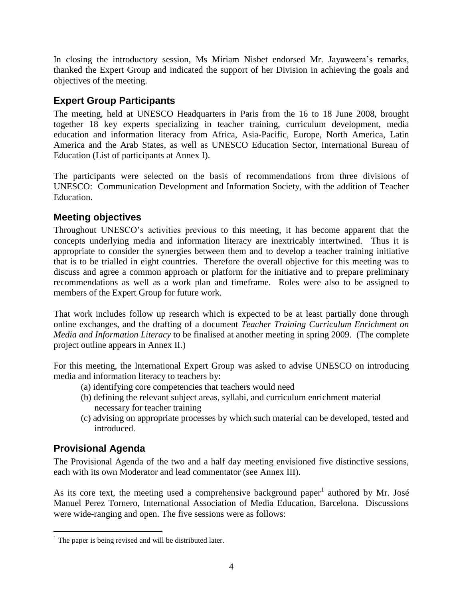In closing the introductory session, Ms Miriam Nisbet endorsed Mr. Jayaweera's remarks, thanked the Expert Group and indicated the support of her Division in achieving the goals and objectives of the meeting.

# <span id="page-3-0"></span>**Expert Group Participants**

The meeting, held at UNESCO Headquarters in Paris from the 16 to 18 June 2008, brought together 18 key experts specializing in teacher training, curriculum development, media education and information literacy from Africa, Asia-Pacific, Europe, North America, Latin America and the Arab States, as well as UNESCO Education Sector, International Bureau of Education (List of participants at Annex I).

The participants were selected on the basis of recommendations from three divisions of UNESCO: Communication Development and Information Society, with the addition of Teacher Education.

# <span id="page-3-1"></span>**Meeting objectives**

Throughout UNESCO's activities previous to this meeting, it has become apparent that the concepts underlying media and information literacy are inextricably intertwined. Thus it is appropriate to consider the synergies between them and to develop a teacher training initiative that is to be trialled in eight countries. Therefore the overall objective for this meeting was to discuss and agree a common approach or platform for the initiative and to prepare preliminary recommendations as well as a work plan and timeframe. Roles were also to be assigned to members of the Expert Group for future work.

That work includes follow up research which is expected to be at least partially done through online exchanges, and the drafting of a document *Teacher Training Curriculum Enrichment on Media and Information Literacy* to be finalised at another meeting in spring 2009. (The complete project outline appears in Annex II.)

For this meeting, the International Expert Group was asked to advise UNESCO on introducing media and information literacy to teachers by:

- (a) identifying core competencies that teachers would need
- (b) defining the relevant subject areas, syllabi, and curriculum enrichment material necessary for teacher training
- (c) advising on appropriate processes by which such material can be developed, tested and introduced.

# <span id="page-3-2"></span>**Provisional Agenda**

 $\overline{a}$ 

The Provisional Agenda of the two and a half day meeting envisioned five distinctive sessions, each with its own Moderator and lead commentator (see Annex III).

As its core text, the meeting used a comprehensive background paper<sup>1</sup> authored by Mr. José Manuel Perez Tornero, International Association of Media Education, Barcelona. Discussions were wide-ranging and open. The five sessions were as follows:

 $<sup>1</sup>$  The paper is being revised and will be distributed later.</sup>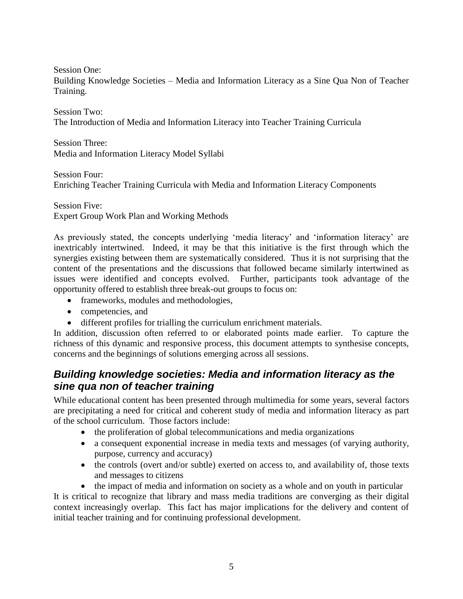Session One:

Building Knowledge Societies – Media and Information Literacy as a Sine Qua Non of Teacher Training.

Session Two: The Introduction of Media and Information Literacy into Teacher Training Curricula

Session Three: Media and Information Literacy Model Syllabi

Session Four:

Enriching Teacher Training Curricula with Media and Information Literacy Components

Session Five: Expert Group Work Plan and Working Methods

As previously stated, the concepts underlying 'media literacy' and 'information literacy' are inextricably intertwined. Indeed, it may be that this initiative is the first through which the synergies existing between them are systematically considered. Thus it is not surprising that the content of the presentations and the discussions that followed became similarly intertwined as issues were identified and concepts evolved. Further, participants took advantage of the opportunity offered to establish three break-out groups to focus on:

- frameworks, modules and methodologies,
- competencies, and
- different profiles for trialling the curriculum enrichment materials.

In addition, discussion often referred to or elaborated points made earlier. To capture the richness of this dynamic and responsive process, this document attempts to synthesise concepts, concerns and the beginnings of solutions emerging across all sessions.

# <span id="page-4-0"></span>*Building knowledge societies: Media and information literacy as the sine qua non of teacher training*

While educational content has been presented through multimedia for some years, several factors are precipitating a need for critical and coherent study of media and information literacy as part of the school curriculum. Those factors include:

- the proliferation of global telecommunications and media organizations
- a consequent exponential increase in media texts and messages (of varying authority, purpose, currency and accuracy)
- the controls (overt and/or subtle) exerted on access to, and availability of, those texts and messages to citizens

• the impact of media and information on society as a whole and on youth in particular It is critical to recognize that library and mass media traditions are converging as their digital context increasingly overlap. This fact has major implications for the delivery and content of initial teacher training and for continuing professional development.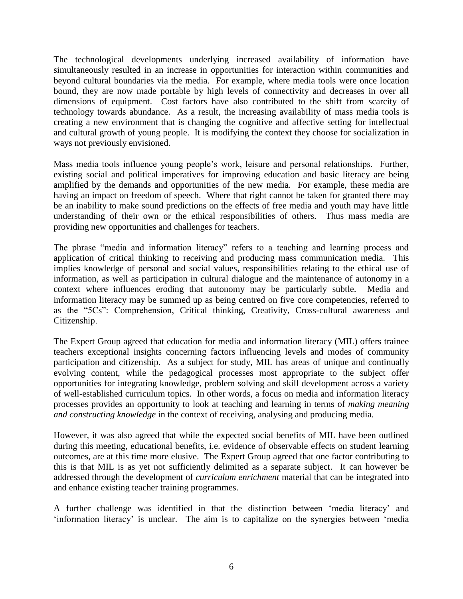The technological developments underlying increased availability of information have simultaneously resulted in an increase in opportunities for interaction within communities and beyond cultural boundaries via the media. For example, where media tools were once location bound, they are now made portable by high levels of connectivity and decreases in over all dimensions of equipment. Cost factors have also contributed to the shift from scarcity of technology towards abundance. As a result, the increasing availability of mass media tools is creating a new environment that is changing the cognitive and affective setting for intellectual and cultural growth of young people. It is modifying the context they choose for socialization in ways not previously envisioned.

Mass media tools influence young people's work, leisure and personal relationships. Further, existing social and political imperatives for improving education and basic literacy are being amplified by the demands and opportunities of the new media. For example, these media are having an impact on freedom of speech. Where that right cannot be taken for granted there may be an inability to make sound predictions on the effects of free media and youth may have little understanding of their own or the ethical responsibilities of others. Thus mass media are providing new opportunities and challenges for teachers.

The phrase "media and information literacy" refers to a teaching and learning process and application of critical thinking to receiving and producing mass communication media. This implies knowledge of personal and social values, responsibilities relating to the ethical use of information, as well as participation in cultural dialogue and the maintenance of autonomy in a context where influences eroding that autonomy may be particularly subtle. Media and information literacy may be summed up as being centred on five core competencies, referred to as the "5Cs": Comprehension, Critical thinking, Creativity, Cross-cultural awareness and Citizenship.

The Expert Group agreed that education for media and information literacy (MIL) offers trainee teachers exceptional insights concerning factors influencing levels and modes of community participation and citizenship. As a subject for study, MIL has areas of unique and continually evolving content, while the pedagogical processes most appropriate to the subject offer opportunities for integrating knowledge, problem solving and skill development across a variety of well-established curriculum topics. In other words, a focus on media and information literacy processes provides an opportunity to look at teaching and learning in terms of *making meaning and constructing knowledge* in the context of receiving, analysing and producing media.

However, it was also agreed that while the expected social benefits of MIL have been outlined during this meeting, educational benefits, i.e. evidence of observable effects on student learning outcomes, are at this time more elusive. The Expert Group agreed that one factor contributing to this is that MIL is as yet not sufficiently delimited as a separate subject. It can however be addressed through the development of *curriculum enrichment* material that can be integrated into and enhance existing teacher training programmes.

A further challenge was identified in that the distinction between 'media literacy' and 'information literacy' is unclear. The aim is to capitalize on the synergies between 'media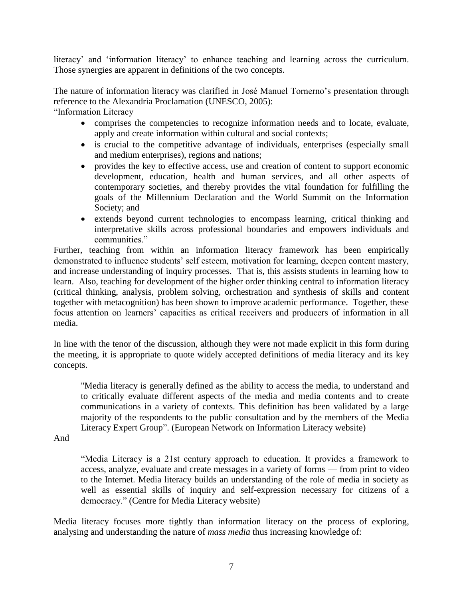literacy' and 'information literacy' to enhance teaching and learning across the curriculum. Those synergies are apparent in definitions of the two concepts.

The nature of information literacy was clarified in José Manuel Tornerno's presentation through reference to the Alexandria Proclamation (UNESCO, 2005): "Information Literacy

- comprises the competencies to recognize information needs and to locate, evaluate, apply and create information within cultural and social contexts;
- is crucial to the competitive advantage of individuals, enterprises (especially small and medium enterprises), regions and nations;
- provides the key to effective access, use and creation of content to support economic development, education, health and human services, and all other aspects of contemporary societies, and thereby provides the vital foundation for fulfilling the goals of the Millennium Declaration and the World Summit on the Information Society; and
- extends beyond current technologies to encompass learning, critical thinking and interpretative skills across professional boundaries and empowers individuals and communities."

Further, teaching from within an information literacy framework has been empirically demonstrated to influence students' self esteem, motivation for learning, deepen content mastery, and increase understanding of inquiry processes. That is, this assists students in learning how to learn. Also, teaching for development of the higher order thinking central to information literacy (critical thinking, analysis, problem solving, orchestration and synthesis of skills and content together with metacognition) has been shown to improve academic performance. Together, these focus attention on learners' capacities as critical receivers and producers of information in all media.

In line with the tenor of the discussion, although they were not made explicit in this form during the meeting, it is appropriate to quote widely accepted definitions of media literacy and its key concepts.

"Media literacy is generally defined as the ability to access the media, to understand and to critically evaluate different aspects of the media and media contents and to create communications in a variety of contexts. This definition has been validated by a large majority of the respondents to the public consultation and by the members of the Media Literacy Expert Group". (European Network on Information Literacy website)

And

"Media Literacy is a 21st century approach to education. It provides a framework to access, analyze, evaluate and create messages in a variety of forms — from print to video to the Internet. Media literacy builds an understanding of the role of media in society as well as essential skills of inquiry and self-expression necessary for citizens of a democracy." (Centre for Media Literacy website)

Media literacy focuses more tightly than information literacy on the process of exploring, analysing and understanding the nature of *mass media* thus increasing knowledge of: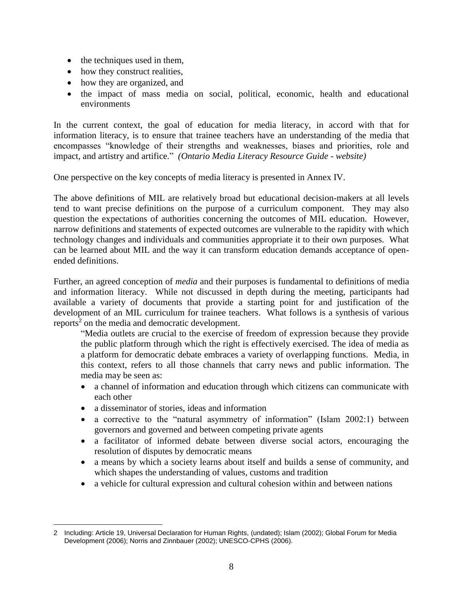- $\bullet$  the techniques used in them,
- how they construct realities,
- how they are organized, and
- the impact of mass media on social, political, economic, health and educational environments

In the current context, the goal of education for media literacy, in accord with that for information literacy, is to ensure that trainee teachers have an understanding of the media that encompasses "knowledge of their strengths and weaknesses, biases and priorities, role and impact, and artistry and artifice." *(Ontario Media Literacy Resource Guide - website)*

One perspective on the key concepts of media literacy is presented in Annex IV.

The above definitions of MIL are relatively broad but educational decision-makers at all levels tend to want precise definitions on the purpose of a curriculum component. They may also question the expectations of authorities concerning the outcomes of MIL education. However, narrow definitions and statements of expected outcomes are vulnerable to the rapidity with which technology changes and individuals and communities appropriate it to their own purposes. What can be learned about MIL and the way it can transform education demands acceptance of openended definitions.

Further, an agreed conception of *media* and their purposes is fundamental to definitions of media and information literacy. While not discussed in depth during the meeting, participants had available a variety of documents that provide a starting point for and justification of the development of an MIL curriculum for trainee teachers. What follows is a synthesis of various reports<sup>2</sup> on the media and democratic development.

"Media outlets are crucial to the exercise of freedom of expression because they provide the public platform through which the right is effectively exercised. The idea of media as a platform for democratic debate embraces a variety of overlapping functions. Media, in this context, refers to all those channels that carry news and public information. The media may be seen as:

- a channel of information and education through which citizens can communicate with each other
- a disseminator of stories, ideas and information
- a corrective to the "natural asymmetry of information" (Islam 2002:1) between governors and governed and between competing private agents
- a facilitator of informed debate between diverse social actors, encouraging the resolution of disputes by democratic means
- a means by which a society learns about itself and builds a sense of community, and which shapes the understanding of values, customs and tradition
- a vehicle for cultural expression and cultural cohesion within and between nations

 $\overline{a}$ 2 Including: Article 19, Universal Declaration for Human Rights, (undated); Islam (2002); Global Forum for Media Development (2006); Norris and Zinnbauer (2002); UNESCO-CPHS (2006).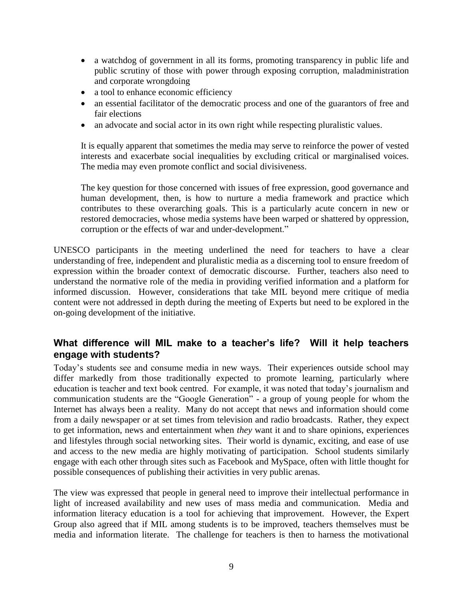- a watchdog of government in all its forms, promoting transparency in public life and public scrutiny of those with power through exposing corruption, maladministration and corporate wrongdoing
- a tool to enhance economic efficiency
- an essential facilitator of the democratic process and one of the guarantors of free and fair elections
- an advocate and social actor in its own right while respecting pluralistic values.

It is equally apparent that sometimes the media may serve to reinforce the power of vested interests and exacerbate social inequalities by excluding critical or marginalised voices. The media may even promote conflict and social divisiveness.

The key question for those concerned with issues of free expression, good governance and human development, then, is how to nurture a media framework and practice which contributes to these overarching goals. This is a particularly acute concern in new or restored democracies, whose media systems have been warped or shattered by oppression, corruption or the effects of war and under-development."

UNESCO participants in the meeting underlined the need for teachers to have a clear understanding of free, independent and pluralistic media as a discerning tool to ensure freedom of expression within the broader context of democratic discourse. Further, teachers also need to understand the normative role of the media in providing verified information and a platform for informed discussion. However, considerations that take MIL beyond mere critique of media content were not addressed in depth during the meeting of Experts but need to be explored in the on-going development of the initiative.

## <span id="page-8-0"></span>**What difference will MIL make to a teacher's life? Will it help teachers engage with students?**

Today's students see and consume media in new ways. Their experiences outside school may differ markedly from those traditionally expected to promote learning, particularly where education is teacher and text book centred. For example, it was noted that today's journalism and communication students are the "Google Generation" - a group of young people for whom the Internet has always been a reality. Many do not accept that news and information should come from a daily newspaper or at set times from television and radio broadcasts. Rather, they expect to get information, news and entertainment when *they* want it and to share opinions, experiences and lifestyles through social networking sites. Their world is dynamic, exciting, and ease of use and access to the new media are highly motivating of participation. School students similarly engage with each other through sites such as Facebook and MySpace, often with little thought for possible consequences of publishing their activities in very public arenas.

The view was expressed that people in general need to improve their intellectual performance in light of increased availability and new uses of mass media and communication. Media and information literacy education is a tool for achieving that improvement. However, the Expert Group also agreed that if MIL among students is to be improved, teachers themselves must be media and information literate. The challenge for teachers is then to harness the motivational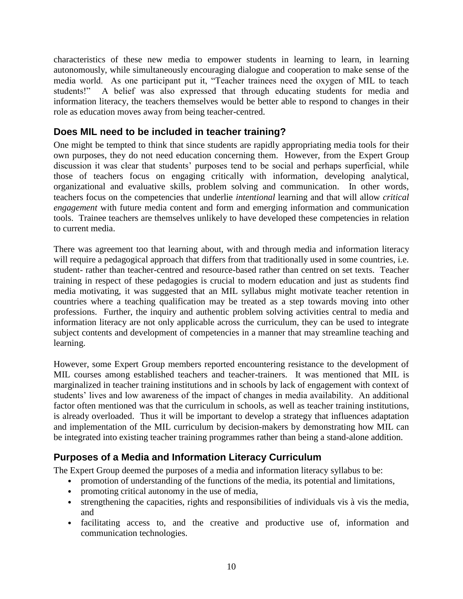characteristics of these new media to empower students in learning to learn, in learning autonomously, while simultaneously encouraging dialogue and cooperation to make sense of the media world. As one participant put it, "Teacher trainees need the oxygen of MIL to teach students!" A belief was also expressed that through educating students for media and information literacy, the teachers themselves would be better able to respond to changes in their role as education moves away from being teacher-centred.

# <span id="page-9-0"></span>**Does MIL need to be included in teacher training?**

One might be tempted to think that since students are rapidly appropriating media tools for their own purposes, they do not need education concerning them. However, from the Expert Group discussion it was clear that students' purposes tend to be social and perhaps superficial, while those of teachers focus on engaging critically with information, developing analytical, organizational and evaluative skills, problem solving and communication. In other words, teachers focus on the competencies that underlie *intentional* learning and that will allow *critical engagement* with future media content and form and emerging information and communication tools. Trainee teachers are themselves unlikely to have developed these competencies in relation to current media.

There was agreement too that learning about, with and through media and information literacy will require a pedagogical approach that differs from that traditionally used in some countries, i.e. student- rather than teacher-centred and resource-based rather than centred on set texts. Teacher training in respect of these pedagogies is crucial to modern education and just as students find media motivating, it was suggested that an MIL syllabus might motivate teacher retention in countries where a teaching qualification may be treated as a step towards moving into other professions. Further, the inquiry and authentic problem solving activities central to media and information literacy are not only applicable across the curriculum, they can be used to integrate subject contents and development of competencies in a manner that may streamline teaching and learning.

However, some Expert Group members reported encountering resistance to the development of MIL courses among established teachers and teacher-trainers. It was mentioned that MIL is marginalized in teacher training institutions and in schools by lack of engagement with context of students' lives and low awareness of the impact of changes in media availability. An additional factor often mentioned was that the curriculum in schools, as well as teacher training institutions, is already overloaded. Thus it will be important to develop a strategy that influences adaptation and implementation of the MIL curriculum by decision-makers by demonstrating how MIL can be integrated into existing teacher training programmes rather than being a stand-alone addition.

# <span id="page-9-1"></span>**Purposes of a Media and Information Literacy Curriculum**

The Expert Group deemed the purposes of a media and information literacy syllabus to be:

- promotion of understanding of the functions of the media, its potential and limitations,
- promoting critical autonomy in the use of media,
- strengthening the capacities, rights and responsibilities of individuals vis à vis the media, and
- facilitating access to, and the creative and productive use of, information and communication technologies.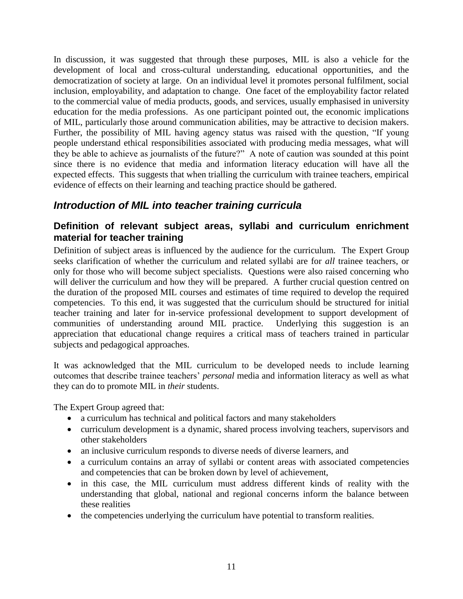In discussion, it was suggested that through these purposes, MIL is also a vehicle for the development of local and cross-cultural understanding, educational opportunities, and the democratization of society at large. On an individual level it promotes personal fulfilment, social inclusion, employability, and adaptation to change. One facet of the employability factor related to the commercial value of media products, goods, and services, usually emphasised in university education for the media professions. As one participant pointed out, the economic implications of MIL, particularly those around communication abilities, may be attractive to decision makers. Further, the possibility of MIL having agency status was raised with the question, "If young people understand ethical responsibilities associated with producing media messages, what will they be able to achieve as journalists of the future?" A note of caution was sounded at this point since there is no evidence that media and information literacy education will have all the expected effects. This suggests that when trialling the curriculum with trainee teachers, empirical evidence of effects on their learning and teaching practice should be gathered.

# <span id="page-10-0"></span>*Introduction of MIL into teacher training curricula*

## <span id="page-10-1"></span>**Definition of relevant subject areas, syllabi and curriculum enrichment material for teacher training**

Definition of subject areas is influenced by the audience for the curriculum. The Expert Group seeks clarification of whether the curriculum and related syllabi are for *all* trainee teachers, or only for those who will become subject specialists. Questions were also raised concerning who will deliver the curriculum and how they will be prepared. A further crucial question centred on the duration of the proposed MIL courses and estimates of time required to develop the required competencies. To this end, it was suggested that the curriculum should be structured for initial teacher training and later for in-service professional development to support development of communities of understanding around MIL practice. Underlying this suggestion is an appreciation that educational change requires a critical mass of teachers trained in particular subjects and pedagogical approaches.

It was acknowledged that the MIL curriculum to be developed needs to include learning outcomes that describe trainee teachers' *personal* media and information literacy as well as what they can do to promote MIL in *their* students.

The Expert Group agreed that:

- a curriculum has technical and political factors and many stakeholders
- curriculum development is a dynamic, shared process involving teachers, supervisors and other stakeholders
- an inclusive curriculum responds to diverse needs of diverse learners, and
- a curriculum contains an array of syllabi or content areas with associated competencies and competencies that can be broken down by level of achievement,
- in this case, the MIL curriculum must address different kinds of reality with the understanding that global, national and regional concerns inform the balance between these realities
- the competencies underlying the curriculum have potential to transform realities.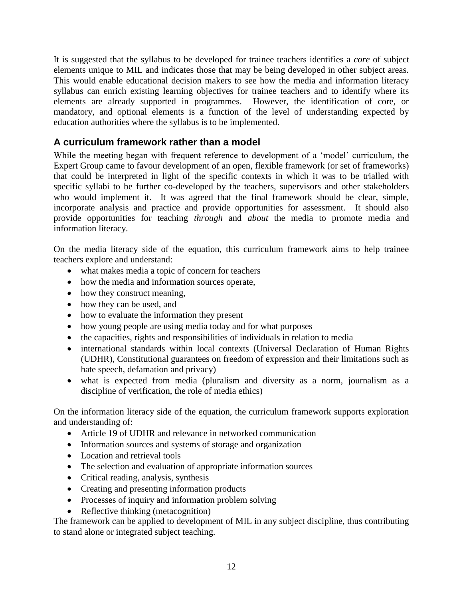It is suggested that the syllabus to be developed for trainee teachers identifies a *core* of subject elements unique to MIL and indicates those that may be being developed in other subject areas. This would enable educational decision makers to see how the media and information literacy syllabus can enrich existing learning objectives for trainee teachers and to identify where its elements are already supported in programmes. However, the identification of core, or mandatory, and optional elements is a function of the level of understanding expected by education authorities where the syllabus is to be implemented.

# <span id="page-11-0"></span>**A curriculum framework rather than a model**

While the meeting began with frequent reference to development of a 'model' curriculum, the Expert Group came to favour development of an open, flexible framework (or set of frameworks) that could be interpreted in light of the specific contexts in which it was to be trialled with specific syllabi to be further co-developed by the teachers, supervisors and other stakeholders who would implement it. It was agreed that the final framework should be clear, simple, incorporate analysis and practice and provide opportunities for assessment. It should also provide opportunities for teaching *through* and *about* the media to promote media and information literacy.

On the media literacy side of the equation, this curriculum framework aims to help trainee teachers explore and understand:

- what makes media a topic of concern for teachers
- how the media and information sources operate,
- how they construct meaning,
- how they can be used, and
- how to evaluate the information they present
- how young people are using media today and for what purposes
- the capacities, rights and responsibilities of individuals in relation to media
- international standards within local contexts (Universal Declaration of Human Rights (UDHR), Constitutional guarantees on freedom of expression and their limitations such as hate speech, defamation and privacy)
- what is expected from media (pluralism and diversity as a norm, journalism as a discipline of verification, the role of media ethics)

On the information literacy side of the equation, the curriculum framework supports exploration and understanding of:

- Article 19 of UDHR and relevance in networked communication
- Information sources and systems of storage and organization
- Location and retrieval tools
- The selection and evaluation of appropriate information sources
- Critical reading, analysis, synthesis
- Creating and presenting information products
- Processes of inquiry and information problem solving
- Reflective thinking (metacognition)

The framework can be applied to development of MIL in any subject discipline, thus contributing to stand alone or integrated subject teaching.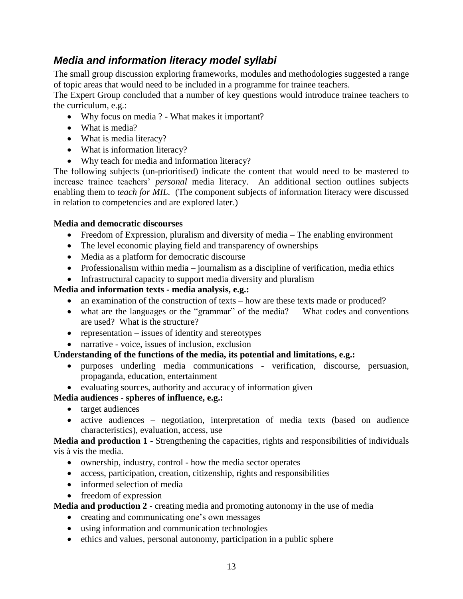# <span id="page-12-0"></span>*Media and information literacy model syllabi*

The small group discussion exploring frameworks, modules and methodologies suggested a range of topic areas that would need to be included in a programme for trainee teachers.

The Expert Group concluded that a number of key questions would introduce trainee teachers to the curriculum, e.g.:

- Why focus on media ? What makes it important?
- What is media?
- What is media literacy?
- What is information literacy?
- Why teach for media and information literacy?

The following subjects (un-prioritised) indicate the content that would need to be mastered to increase trainee teachers' *personal* media literacy. An additional section outlines subjects enabling them to *teach for MIL.* (The component subjects of information literacy were discussed in relation to competencies and are explored later.)

## **Media and democratic discourses**

- Freedom of Expression, pluralism and diversity of media The enabling environment
- The level economic playing field and transparency of ownerships
- Media as a platform for democratic discourse
- Professionalism within media journalism as a discipline of verification, media ethics
- Infrastructural capacity to support media diversity and pluralism

## **Media and information texts - media analysis, e.g.:**

- an examination of the construction of texts how are these texts made or produced?
- what are the languages or the "grammar" of the media? What codes and conventions are used? What is the structure?
- representation  $-$  issues of identity and stereotypes
- narrative voice, issues of inclusion, exclusion

## **Understanding of the functions of the media, its potential and limitations, e.g.:**

- purposes underling media communications verification, discourse, persuasion, propaganda, education, entertainment
- evaluating sources, authority and accuracy of information given

## **Media audiences - spheres of influence, e.g.:**

- target audiences
- active audiences negotiation, interpretation of media texts (based on audience characteristics), evaluation, access, use

**Media and production 1** - Strengthening the capacities, rights and responsibilities of individuals vis à vis the media.

- ownership, industry, control how the media sector operates
- access, participation, creation, citizenship, rights and responsibilities
- informed selection of media
- freedom of expression

## **Media and production 2** - creating media and promoting autonomy in the use of media

- creating and communicating one's own messages
- using information and communication technologies
- ethics and values, personal autonomy, participation in a public sphere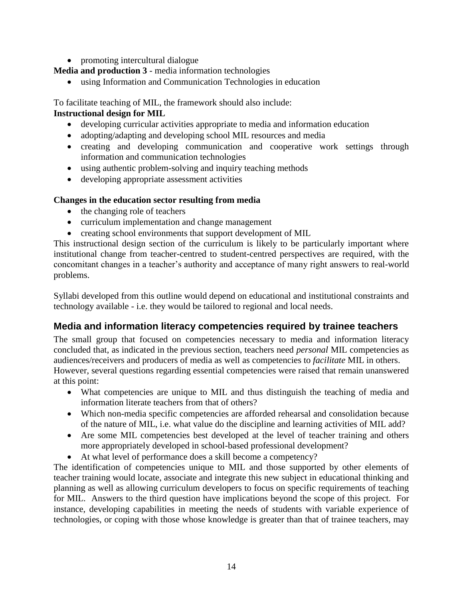- promoting intercultural dialogue
- **Media and production 3** media information technologies
	- using Information and Communication Technologies in education

To facilitate teaching of MIL, the framework should also include:

## **Instructional design for MIL**

- developing curricular activities appropriate to media and information education
- adopting/adapting and developing school MIL resources and media
- creating and developing communication and cooperative work settings through information and communication technologies
- using authentic problem-solving and inquiry teaching methods
- developing appropriate assessment activities

## **Changes in the education sector resulting from media**

- the changing role of teachers
- curriculum implementation and change management
- creating school environments that support development of MIL

This instructional design section of the curriculum is likely to be particularly important where institutional change from teacher-centred to student-centred perspectives are required, with the concomitant changes in a teacher's authority and acceptance of many right answers to real-world problems.

Syllabi developed from this outline would depend on educational and institutional constraints and technology available - i.e. they would be tailored to regional and local needs.

# <span id="page-13-0"></span>**Media and information literacy competencies required by trainee teachers**

The small group that focused on competencies necessary to media and information literacy concluded that, as indicated in the previous section, teachers need *personal* MIL competencies as audiences/receivers and producers of media as well as competencies to *facilitate* MIL in others. However, several questions regarding essential competencies were raised that remain unanswered at this point:

- What competencies are unique to MIL and thus distinguish the teaching of media and information literate teachers from that of others?
- Which non-media specific competencies are afforded rehearsal and consolidation because of the nature of MIL, i.e. what value do the discipline and learning activities of MIL add?
- Are some MIL competencies best developed at the level of teacher training and others more appropriately developed in school-based professional development?
- At what level of performance does a skill become a competency?

The identification of competencies unique to MIL and those supported by other elements of teacher training would locate, associate and integrate this new subject in educational thinking and planning as well as allowing curriculum developers to focus on specific requirements of teaching for MIL. Answers to the third question have implications beyond the scope of this project. For instance, developing capabilities in meeting the needs of students with variable experience of technologies, or coping with those whose knowledge is greater than that of trainee teachers, may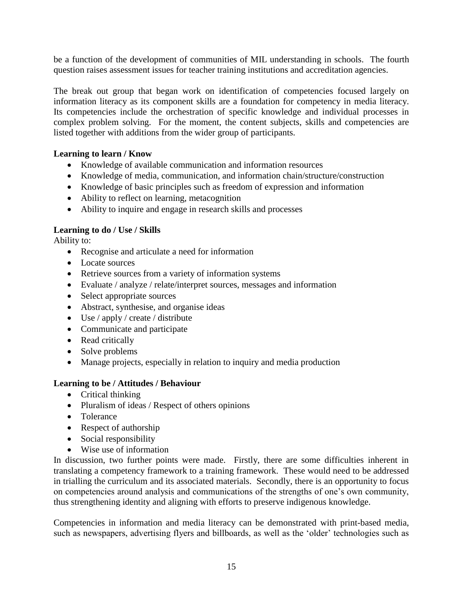be a function of the development of communities of MIL understanding in schools. The fourth question raises assessment issues for teacher training institutions and accreditation agencies.

The break out group that began work on identification of competencies focused largely on information literacy as its component skills are a foundation for competency in media literacy. Its competencies include the orchestration of specific knowledge and individual processes in complex problem solving. For the moment, the content subjects, skills and competencies are listed together with additions from the wider group of participants.

## **Learning to learn / Know**

- Knowledge of available communication and information resources
- Knowledge of media, communication, and information chain/structure/construction
- Knowledge of basic principles such as freedom of expression and information
- Ability to reflect on learning, metacognition
- Ability to inquire and engage in research skills and processes

## **Learning to do / Use / Skills**

Ability to:

- Recognise and articulate a need for information
- Locate sources
- Retrieve sources from a variety of information systems
- Evaluate / analyze / relate/interpret sources, messages and information
- Select appropriate sources
- Abstract, synthesise, and organise ideas
- Use / apply / create / distribute
- Communicate and participate
- Read critically
- Solve problems
- Manage projects, especially in relation to inquiry and media production

## **Learning to be / Attitudes / Behaviour**

- Critical thinking
- Pluralism of ideas / Respect of others opinions
- Tolerance
- Respect of authorship
- Social responsibility
- Wise use of information

In discussion, two further points were made. Firstly, there are some difficulties inherent in translating a competency framework to a training framework. These would need to be addressed in trialling the curriculum and its associated materials. Secondly, there is an opportunity to focus on competencies around analysis and communications of the strengths of one's own community, thus strengthening identity and aligning with efforts to preserve indigenous knowledge.

Competencies in information and media literacy can be demonstrated with print-based media, such as newspapers, advertising flyers and billboards, as well as the 'older' technologies such as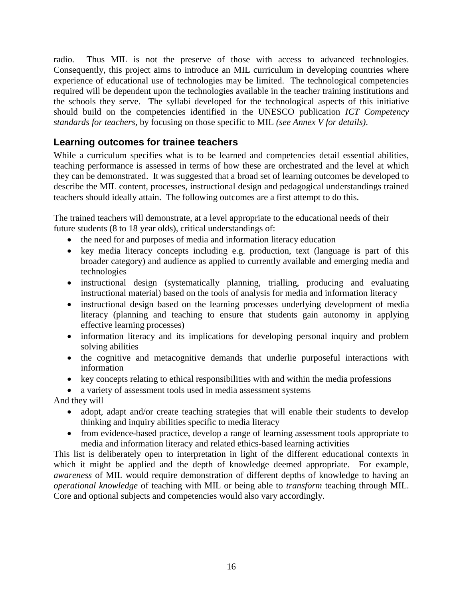radio. Thus MIL is not the preserve of those with access to advanced technologies. Consequently, this project aims to introduce an MIL curriculum in developing countries where experience of educational use of technologies may be limited. The technological competencies required will be dependent upon the technologies available in the teacher training institutions and the schools they serve. The syllabi developed for the technological aspects of this initiative should build on the competencies identified in the UNESCO publication *ICT Competency standards for teachers*, by focusing on those specific to MIL *(see Annex V for details)*.

# <span id="page-15-0"></span>**Learning outcomes for trainee teachers**

While a curriculum specifies what is to be learned and competencies detail essential abilities, teaching performance is assessed in terms of how these are orchestrated and the level at which they can be demonstrated. It was suggested that a broad set of learning outcomes be developed to describe the MIL content, processes, instructional design and pedagogical understandings trained teachers should ideally attain. The following outcomes are a first attempt to do this.

The trained teachers will demonstrate, at a level appropriate to the educational needs of their future students (8 to 18 year olds), critical understandings of:

- the need for and purposes of media and information literacy education
- key media literacy concepts including e.g. production, text (language is part of this broader category) and audience as applied to currently available and emerging media and technologies
- instructional design (systematically planning, trialling, producing and evaluating instructional material) based on the tools of analysis for media and information literacy
- instructional design based on the learning processes underlying development of media literacy (planning and teaching to ensure that students gain autonomy in applying effective learning processes)
- information literacy and its implications for developing personal inquiry and problem solving abilities
- the cognitive and metacognitive demands that underlie purposeful interactions with information
- key concepts relating to ethical responsibilities with and within the media professions
- a variety of assessment tools used in media assessment systems

And they will

- adopt, adapt and/or create teaching strategies that will enable their students to develop thinking and inquiry abilities specific to media literacy
- from evidence-based practice, develop a range of learning assessment tools appropriate to media and information literacy and related ethics-based learning activities

This list is deliberately open to interpretation in light of the different educational contexts in which it might be applied and the depth of knowledge deemed appropriate. For example, *awareness* of MIL would require demonstration of different depths of knowledge to having an *operational knowledge* of teaching with MIL or being able to *transform* teaching through MIL. Core and optional subjects and competencies would also vary accordingly.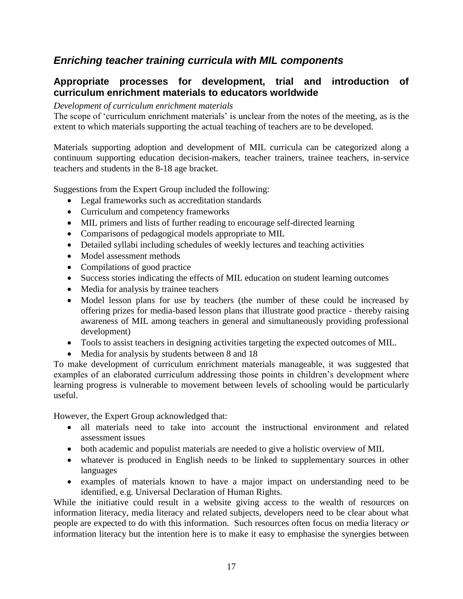# <span id="page-16-0"></span>*Enriching teacher training curricula with MIL components*

# <span id="page-16-1"></span>**Appropriate processes for development, trial and introduction of curriculum enrichment materials to educators worldwide**

## *Development of curriculum enrichment materials*

The scope of 'curriculum enrichment materials' is unclear from the notes of the meeting, as is the extent to which materials supporting the actual teaching of teachers are to be developed.

Materials supporting adoption and development of MIL curricula can be categorized along a continuum supporting education decision-makers, teacher trainers, trainee teachers, in-service teachers and students in the 8-18 age bracket.

Suggestions from the Expert Group included the following:

- Legal frameworks such as accreditation standards
- Curriculum and competency frameworks
- MIL primers and lists of further reading to encourage self-directed learning
- Comparisons of pedagogical models appropriate to MIL
- Detailed syllabi including schedules of weekly lectures and teaching activities
- Model assessment methods
- Compilations of good practice
- Success stories indicating the effects of MIL education on student learning outcomes
- Media for analysis by trainee teachers
- Model lesson plans for use by teachers (the number of these could be increased by offering prizes for media-based lesson plans that illustrate good practice - thereby raising awareness of MIL among teachers in general and simultaneously providing professional development)
- Tools to assist teachers in designing activities targeting the expected outcomes of MIL.
- Media for analysis by students between 8 and 18

To make development of curriculum enrichment materials manageable, it was suggested that examples of an elaborated curriculum addressing those points in children's development where learning progress is vulnerable to movement between levels of schooling would be particularly useful.

However, the Expert Group acknowledged that:

- all materials need to take into account the instructional environment and related assessment issues
- both academic and populist materials are needed to give a holistic overview of MIL
- whatever is produced in English needs to be linked to supplementary sources in other languages
- examples of materials known to have a major impact on understanding need to be identified, e.g. Universal Declaration of Human Rights.

While the initiative could result in a website giving access to the wealth of resources on information literacy, media literacy and related subjects, developers need to be clear about what people are expected to do with this information. Such resources often focus on media literacy *or* information literacy but the intention here is to make it easy to emphasise the synergies between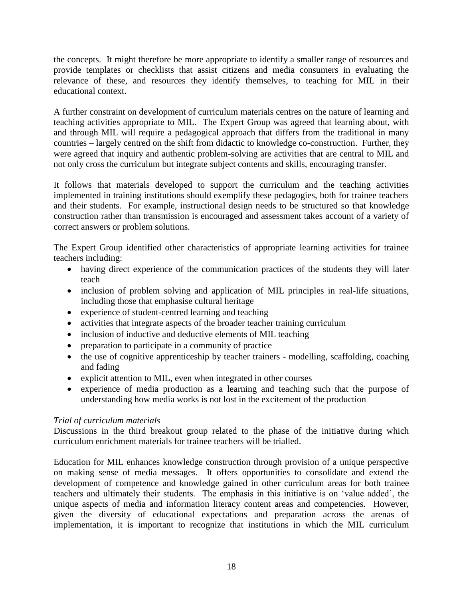the concepts. It might therefore be more appropriate to identify a smaller range of resources and provide templates or checklists that assist citizens and media consumers in evaluating the relevance of these, and resources they identify themselves, to teaching for MIL in their educational context.

A further constraint on development of curriculum materials centres on the nature of learning and teaching activities appropriate to MIL. The Expert Group was agreed that learning about, with and through MIL will require a pedagogical approach that differs from the traditional in many countries – largely centred on the shift from didactic to knowledge co-construction. Further, they were agreed that inquiry and authentic problem-solving are activities that are central to MIL and not only cross the curriculum but integrate subject contents and skills, encouraging transfer.

It follows that materials developed to support the curriculum and the teaching activities implemented in training institutions should exemplify these pedagogies, both for trainee teachers and their students. For example, instructional design needs to be structured so that knowledge construction rather than transmission is encouraged and assessment takes account of a variety of correct answers or problem solutions.

The Expert Group identified other characteristics of appropriate learning activities for trainee teachers including:

- having direct experience of the communication practices of the students they will later teach
- inclusion of problem solving and application of MIL principles in real-life situations, including those that emphasise cultural heritage
- experience of student-centred learning and teaching
- activities that integrate aspects of the broader teacher training curriculum
- inclusion of inductive and deductive elements of MIL teaching
- preparation to participate in a community of practice
- the use of cognitive apprenticeship by teacher trainers modelling, scaffolding, coaching and fading
- explicit attention to MIL, even when integrated in other courses
- experience of media production as a learning and teaching such that the purpose of understanding how media works is not lost in the excitement of the production

## *Trial of curriculum materials*

Discussions in the third breakout group related to the phase of the initiative during which curriculum enrichment materials for trainee teachers will be trialled.

Education for MIL enhances knowledge construction through provision of a unique perspective on making sense of media messages. It offers opportunities to consolidate and extend the development of competence and knowledge gained in other curriculum areas for both trainee teachers and ultimately their students. The emphasis in this initiative is on 'value added', the unique aspects of media and information literacy content areas and competencies. However, given the diversity of educational expectations and preparation across the arenas of implementation, it is important to recognize that institutions in which the MIL curriculum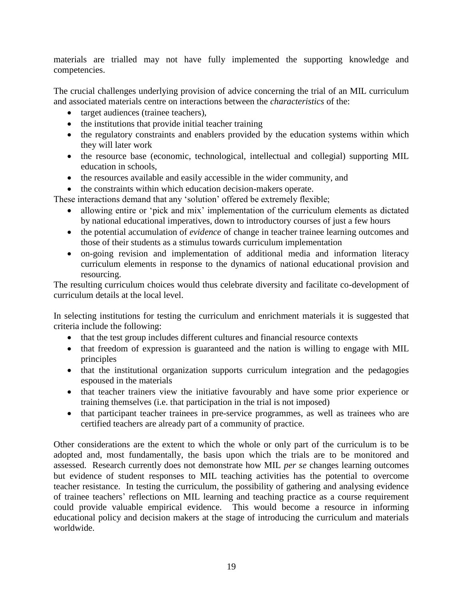materials are trialled may not have fully implemented the supporting knowledge and competencies.

The crucial challenges underlying provision of advice concerning the trial of an MIL curriculum and associated materials centre on interactions between the *characteristics* of the:

- target audiences (trainee teachers),
- $\bullet$  the institutions that provide initial teacher training
- the regulatory constraints and enablers provided by the education systems within which they will later work
- the resource base (economic, technological, intellectual and collegial) supporting MIL education in schools,
- the resources available and easily accessible in the wider community, and
- the constraints within which education decision-makers operate.

These interactions demand that any 'solution' offered be extremely flexible;

- allowing entire or 'pick and mix' implementation of the curriculum elements as dictated by national educational imperatives, down to introductory courses of just a few hours
- the potential accumulation of *evidence* of change in teacher trainee learning outcomes and those of their students as a stimulus towards curriculum implementation
- on-going revision and implementation of additional media and information literacy curriculum elements in response to the dynamics of national educational provision and resourcing.

The resulting curriculum choices would thus celebrate diversity and facilitate co-development of curriculum details at the local level.

In selecting institutions for testing the curriculum and enrichment materials it is suggested that criteria include the following:

- that the test group includes different cultures and financial resource contexts
- that freedom of expression is guaranteed and the nation is willing to engage with MIL principles
- that the institutional organization supports curriculum integration and the pedagogies espoused in the materials
- that teacher trainers view the initiative favourably and have some prior experience or training themselves (i.e. that participation in the trial is not imposed)
- that participant teacher trainees in pre-service programmes, as well as trainees who are certified teachers are already part of a community of practice.

Other considerations are the extent to which the whole or only part of the curriculum is to be adopted and, most fundamentally, the basis upon which the trials are to be monitored and assessed. Research currently does not demonstrate how MIL *per se* changes learning outcomes but evidence of student responses to MIL teaching activities has the potential to overcome teacher resistance. In testing the curriculum, the possibility of gathering and analysing evidence of trainee teachers' reflections on MIL learning and teaching practice as a course requirement could provide valuable empirical evidence. This would become a resource in informing educational policy and decision makers at the stage of introducing the curriculum and materials worldwide.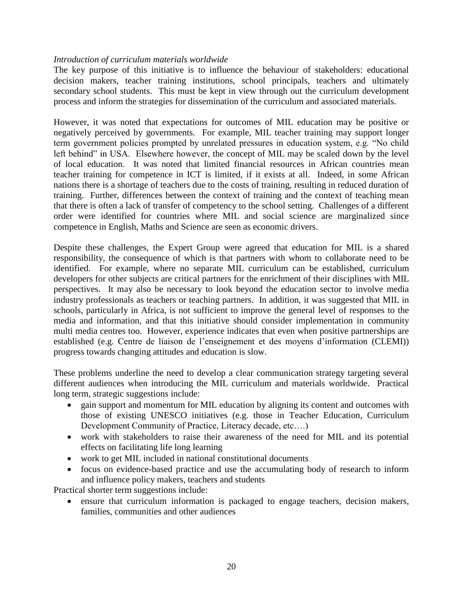## *Introduction of curriculum materials worldwide*

The key purpose of this initiative is to influence the behaviour of stakeholders: educational decision makers, teacher training institutions, school principals, teachers and ultimately secondary school students. This must be kept in view through out the curriculum development process and inform the strategies for dissemination of the curriculum and associated materials.

However, it was noted that expectations for outcomes of MIL education may be positive or negatively perceived by governments. For example, MIL teacher training may support longer term government policies prompted by unrelated pressures in education system, e.g. "No child left behind" in USA. Elsewhere however, the concept of MIL may be scaled down by the level of local education. It was noted that limited financial resources in African countries mean teacher training for competence in ICT is limited, if it exists at all. Indeed, in some African nations there is a shortage of teachers due to the costs of training, resulting in reduced duration of training. Further, differences between the context of training and the context of teaching mean that there is often a lack of transfer of competency to the school setting. Challenges of a different order were identified for countries where MIL and social science are marginalized since competence in English, Maths and Science are seen as economic drivers.

Despite these challenges, the Expert Group were agreed that education for MIL is a shared responsibility, the consequence of which is that partners with whom to collaborate need to be identified. For example, where no separate MIL curriculum can be established, curriculum developers for other subjects are critical partners for the enrichment of their disciplines with MIL perspectives. It may also be necessary to look beyond the education sector to involve media industry professionals as teachers or teaching partners. In addition, it was suggested that MIL in schools, particularly in Africa, is not sufficient to improve the general level of responses to the media and information, and that this initiative should consider implementation in community multi media centres too. However, experience indicates that even when positive partnerships are established (e.g. Centre de liaison de l'enseignement et des moyens d'information (CLEMI)) progress towards changing attitudes and education is slow.

These problems underline the need to develop a clear communication strategy targeting several different audiences when introducing the MIL curriculum and materials worldwide. Practical long term, strategic suggestions include:

- gain support and momentum for MIL education by aligning its content and outcomes with those of existing UNESCO initiatives (e.g. those in Teacher Education, Curriculum Development Community of Practice, Literacy decade, etc….)
- work with stakeholders to raise their awareness of the need for MIL and its potential effects on facilitating life long learning
- work to get MIL included in national constitutional documents
- focus on evidence-based practice and use the accumulating body of research to inform and influence policy makers, teachers and students

Practical shorter term suggestions include:

 ensure that curriculum information is packaged to engage teachers, decision makers, families, communities and other audiences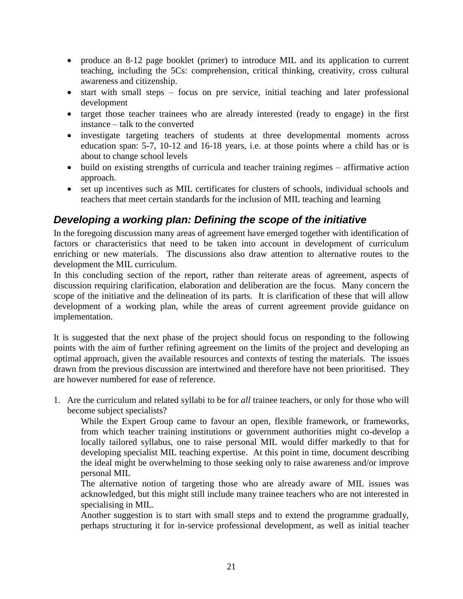- produce an 8-12 page booklet (primer) to introduce MIL and its application to current teaching, including the 5Cs: comprehension, critical thinking, creativity, cross cultural awareness and citizenship.
- start with small steps focus on pre service, initial teaching and later professional development
- target those teacher trainees who are already interested (ready to engage) in the first instance – talk to the converted
- investigate targeting teachers of students at three developmental moments across education span: 5-7, 10-12 and 16-18 years, i.e. at those points where a child has or is about to change school levels
- build on existing strengths of curricula and teacher training regimes affirmative action approach.
- set up incentives such as MIL certificates for clusters of schools, individual schools and teachers that meet certain standards for the inclusion of MIL teaching and learning

# <span id="page-20-0"></span>*Developing a working plan: Defining the scope of the initiative*

In the foregoing discussion many areas of agreement have emerged together with identification of factors or characteristics that need to be taken into account in development of curriculum enriching or new materials. The discussions also draw attention to alternative routes to the development the MIL curriculum.

In this concluding section of the report, rather than reiterate areas of agreement, aspects of discussion requiring clarification, elaboration and deliberation are the focus. Many concern the scope of the initiative and the delineation of its parts. It is clarification of these that will allow development of a working plan, while the areas of current agreement provide guidance on implementation.

It is suggested that the next phase of the project should focus on responding to the following points with the aim of further refining agreement on the limits of the project and developing an optimal approach, given the available resources and contexts of testing the materials. The issues drawn from the previous discussion are intertwined and therefore have not been prioritised. They are however numbered for ease of reference.

1. Are the curriculum and related syllabi to be for *all* trainee teachers, or only for those who will become subject specialists?

While the Expert Group came to favour an open, flexible framework, or frameworks, from which teacher training institutions or government authorities might co-develop a locally tailored syllabus, one to raise personal MIL would differ markedly to that for developing specialist MIL teaching expertise. At this point in time, document describing the ideal might be overwhelming to those seeking only to raise awareness and/or improve personal MIL

The alternative notion of targeting those who are already aware of MIL issues was acknowledged, but this might still include many trainee teachers who are not interested in specialising in MIL.

Another suggestion is to start with small steps and to extend the programme gradually, perhaps structuring it for in-service professional development, as well as initial teacher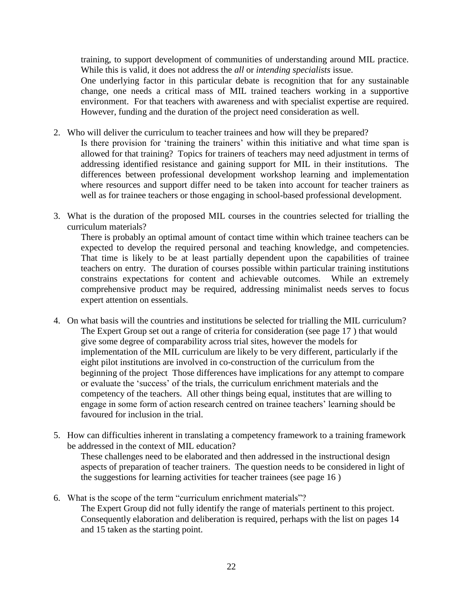training, to support development of communities of understanding around MIL practice. While this is valid, it does not address the *all* or *intending specialists* issue.

One underlying factor in this particular debate is recognition that for any sustainable change, one needs a critical mass of MIL trained teachers working in a supportive environment. For that teachers with awareness and with specialist expertise are required. However, funding and the duration of the project need consideration as well.

- 2. Who will deliver the curriculum to teacher trainees and how will they be prepared?
	- Is there provision for 'training the trainers' within this initiative and what time span is allowed for that training? Topics for trainers of teachers may need adjustment in terms of addressing identified resistance and gaining support for MIL in their institutions. The differences between professional development workshop learning and implementation where resources and support differ need to be taken into account for teacher trainers as well as for trainee teachers or those engaging in school-based professional development.
- 3. What is the duration of the proposed MIL courses in the countries selected for trialling the curriculum materials?

There is probably an optimal amount of contact time within which trainee teachers can be expected to develop the required personal and teaching knowledge, and competencies. That time is likely to be at least partially dependent upon the capabilities of trainee teachers on entry. The duration of courses possible within particular training institutions constrains expectations for content and achievable outcomes. While an extremely comprehensive product may be required, addressing minimalist needs serves to focus expert attention on essentials.

- 4. On what basis will the countries and institutions be selected for trialling the MIL curriculum? The Expert Group set out a range of criteria for consideration (see page 17 ) that would give some degree of comparability across trial sites, however the models for implementation of the MIL curriculum are likely to be very different, particularly if the eight pilot institutions are involved in co-construction of the curriculum from the beginning of the project Those differences have implications for any attempt to compare or evaluate the 'success' of the trials, the curriculum enrichment materials and the competency of the teachers. All other things being equal, institutes that are willing to engage in some form of action research centred on trainee teachers' learning should be favoured for inclusion in the trial.
- 5. How can difficulties inherent in translating a competency framework to a training framework be addressed in the context of MIL education?

These challenges need to be elaborated and then addressed in the instructional design aspects of preparation of teacher trainers. The question needs to be considered in light of the suggestions for learning activities for teacher trainees (see page 16 )

6. What is the scope of the term "curriculum enrichment materials"? The Expert Group did not fully identify the range of materials pertinent to this project. Consequently elaboration and deliberation is required, perhaps with the list on pages 14 and 15 taken as the starting point.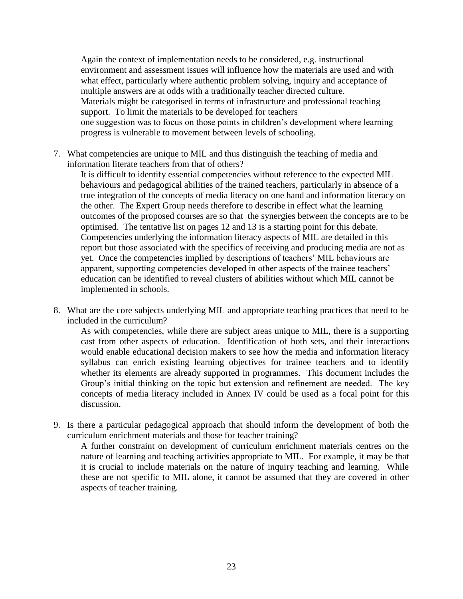Again the context of implementation needs to be considered, e.g. instructional environment and assessment issues will influence how the materials are used and with what effect, particularly where authentic problem solving, inquiry and acceptance of multiple answers are at odds with a traditionally teacher directed culture. Materials might be categorised in terms of infrastructure and professional teaching support. To limit the materials to be developed for teachers one suggestion was to focus on those points in children's development where learning progress is vulnerable to movement between levels of schooling.

7. What competencies are unique to MIL and thus distinguish the teaching of media and information literate teachers from that of others?

It is difficult to identify essential competencies without reference to the expected MIL behaviours and pedagogical abilities of the trained teachers, particularly in absence of a true integration of the concepts of media literacy on one hand and information literacy on the other. The Expert Group needs therefore to describe in effect what the learning outcomes of the proposed courses are so that the synergies between the concepts are to be optimised. The tentative list on pages 12 and 13 is a starting point for this debate. Competencies underlying the information literacy aspects of MIL are detailed in this report but those associated with the specifics of receiving and producing media are not as yet. Once the competencies implied by descriptions of teachers' MIL behaviours are apparent, supporting competencies developed in other aspects of the trainee teachers' education can be identified to reveal clusters of abilities without which MIL cannot be implemented in schools.

8. What are the core subjects underlying MIL and appropriate teaching practices that need to be included in the curriculum?

As with competencies, while there are subject areas unique to MIL, there is a supporting cast from other aspects of education. Identification of both sets, and their interactions would enable educational decision makers to see how the media and information literacy syllabus can enrich existing learning objectives for trainee teachers and to identify whether its elements are already supported in programmes. This document includes the Group's initial thinking on the topic but extension and refinement are needed. The key concepts of media literacy included in Annex IV could be used as a focal point for this discussion.

9. Is there a particular pedagogical approach that should inform the development of both the curriculum enrichment materials and those for teacher training?

A further constraint on development of curriculum enrichment materials centres on the nature of learning and teaching activities appropriate to MIL. For example, it may be that it is crucial to include materials on the nature of inquiry teaching and learning. While these are not specific to MIL alone, it cannot be assumed that they are covered in other aspects of teacher training.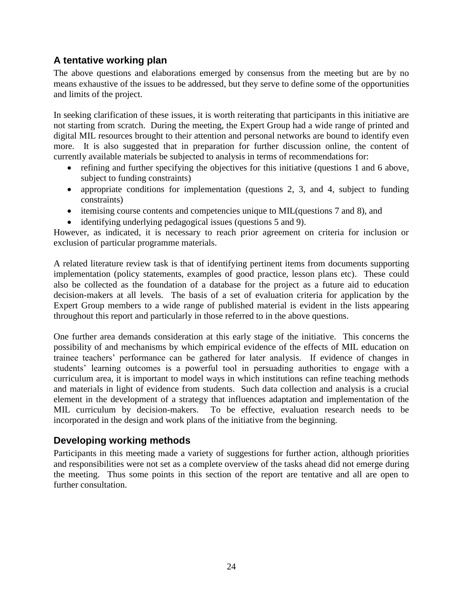# <span id="page-23-0"></span>**A tentative working plan**

The above questions and elaborations emerged by consensus from the meeting but are by no means exhaustive of the issues to be addressed, but they serve to define some of the opportunities and limits of the project.

In seeking clarification of these issues, it is worth reiterating that participants in this initiative are not starting from scratch. During the meeting, the Expert Group had a wide range of printed and digital MIL resources brought to their attention and personal networks are bound to identify even more. It is also suggested that in preparation for further discussion online, the content of currently available materials be subjected to analysis in terms of recommendations for:

- refining and further specifying the objectives for this initiative (questions 1 and 6 above, subject to funding constraints)
- appropriate conditions for implementation (questions 2, 3, and 4, subject to funding constraints)
- itemising course contents and competencies unique to MIL(questions 7 and 8), and
- identifying underlying pedagogical issues (questions 5 and 9).

However, as indicated, it is necessary to reach prior agreement on criteria for inclusion or exclusion of particular programme materials.

A related literature review task is that of identifying pertinent items from documents supporting implementation (policy statements, examples of good practice, lesson plans etc). These could also be collected as the foundation of a database for the project as a future aid to education decision-makers at all levels. The basis of a set of evaluation criteria for application by the Expert Group members to a wide range of published material is evident in the lists appearing throughout this report and particularly in those referred to in the above questions.

One further area demands consideration at this early stage of the initiative. This concerns the possibility of and mechanisms by which empirical evidence of the effects of MIL education on trainee teachers' performance can be gathered for later analysis. If evidence of changes in students' learning outcomes is a powerful tool in persuading authorities to engage with a curriculum area, it is important to model ways in which institutions can refine teaching methods and materials in light of evidence from students. Such data collection and analysis is a crucial element in the development of a strategy that influences adaptation and implementation of the MIL curriculum by decision-makers. To be effective, evaluation research needs to be incorporated in the design and work plans of the initiative from the beginning.

# <span id="page-23-1"></span>**Developing working methods**

Participants in this meeting made a variety of suggestions for further action, although priorities and responsibilities were not set as a complete overview of the tasks ahead did not emerge during the meeting. Thus some points in this section of the report are tentative and all are open to further consultation.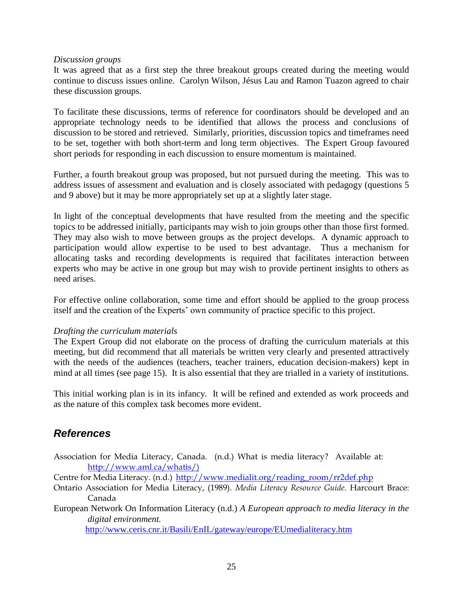### *Discussion groups*

It was agreed that as a first step the three breakout groups created during the meeting would continue to discuss issues online. Carolyn Wilson, Jésus Lau and Ramon Tuazon agreed to chair these discussion groups.

To facilitate these discussions, terms of reference for coordinators should be developed and an appropriate technology needs to be identified that allows the process and conclusions of discussion to be stored and retrieved. Similarly, priorities, discussion topics and timeframes need to be set, together with both short-term and long term objectives. The Expert Group favoured short periods for responding in each discussion to ensure momentum is maintained.

Further, a fourth breakout group was proposed, but not pursued during the meeting. This was to address issues of assessment and evaluation and is closely associated with pedagogy (questions 5 and 9 above) but it may be more appropriately set up at a slightly later stage.

In light of the conceptual developments that have resulted from the meeting and the specific topics to be addressed initially, participants may wish to join groups other than those first formed. They may also wish to move between groups as the project develops. A dynamic approach to participation would allow expertise to be used to best advantage. Thus a mechanism for allocating tasks and recording developments is required that facilitates interaction between experts who may be active in one group but may wish to provide pertinent insights to others as need arises.

For effective online collaboration, some time and effort should be applied to the group process itself and the creation of the Experts' own community of practice specific to this project.

## *Drafting the curriculum materials*

The Expert Group did not elaborate on the process of drafting the curriculum materials at this meeting, but did recommend that all materials be written very clearly and presented attractively with the needs of the audiences (teachers, teacher trainers, education decision-makers) kept in mind at all times (see page 15). It is also essential that they are trialled in a variety of institutions.

This initial working plan is in its infancy. It will be refined and extended as work proceeds and as the nature of this complex task becomes more evident.

# <span id="page-24-0"></span>*References*

Association for Media Literacy, Canada. (n.d.) What is media literacy? Available at: [http://www.aml.ca/whatis/\)](http://www.aml.ca/whatis/)

Centre for Media Literacy. (n.d.) http://www.medialit.org/reading\_room/rr2def.php

- Ontario Association for Media Literacy, (1989). *Media Literacy Resource Guide.* Harcourt Brace: Canada
- European Network On Information Literacy (n.d.) *A European approach to media literacy in the digital environment.*

<http://www.ceris.cnr.it/Basili/EnIL/gateway/europe/EUmedialiteracy.htm>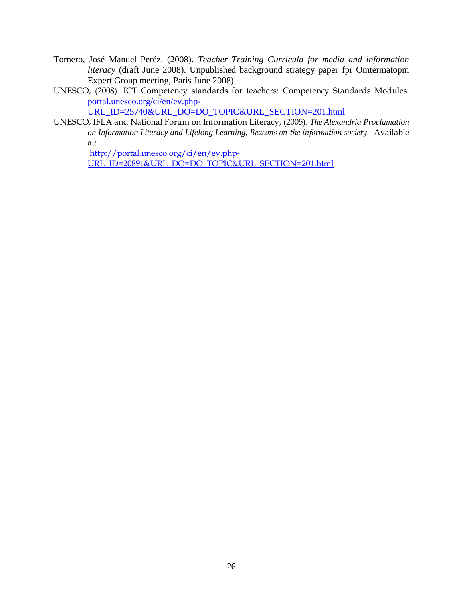- Tornero, José Manuel Peréz. (2008). *Teacher Training Curricula for media and information literacy* (draft June 2008). Unpublished background strategy paper fpr Omtermatopm Expert Group meeting, Paris June 2008)
- UNESCO, (2008). ICT Competency standards for teachers: Competency Standards Modules. portal.unesco.org/ci/en/ev.php-

URL\_ID=25740&URL\_DO=DO\_TOPIC&URL\_SECTION=201.html

UNESCO, IFLA and National Forum on Information Literacy, (2005). *The Alexandria Proclamation on Information Literacy and Lifelong Learning, Beacons on the information society.* Available at:

[http://portal.unesco.org/ci/en/ev.php-](http://portal.unesco.org/ci/en/ev.php-URL_ID=20891&URL_DO=DO_TOPIC&URL_SECTION=201.html)

[URL\\_ID=20891&URL\\_DO=DO\\_TOPIC&URL\\_SECTION=201.html](http://portal.unesco.org/ci/en/ev.php-URL_ID=20891&URL_DO=DO_TOPIC&URL_SECTION=201.html)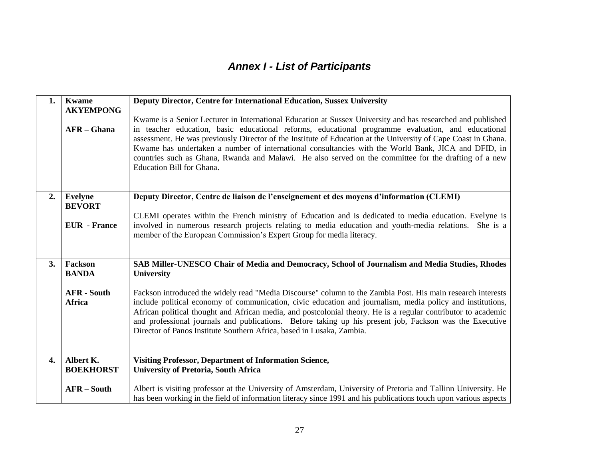# *Annex I - List of Participants*

<span id="page-26-0"></span>

| 1. | <b>Kwame</b><br><b>AKYEMPONG</b> | Deputy Director, Centre for International Education, Sussex University                                                                                                                                                                                                                                                                                                                                                                                                                                                                                                           |
|----|----------------------------------|----------------------------------------------------------------------------------------------------------------------------------------------------------------------------------------------------------------------------------------------------------------------------------------------------------------------------------------------------------------------------------------------------------------------------------------------------------------------------------------------------------------------------------------------------------------------------------|
|    | $AFR - Ghana$                    | Kwame is a Senior Lecturer in International Education at Sussex University and has researched and published<br>in teacher education, basic educational reforms, educational programme evaluation, and educational<br>assessment. He was previously Director of the Institute of Education at the University of Cape Coast in Ghana.<br>Kwame has undertaken a number of international consultancies with the World Bank, JICA and DFID, in<br>countries such as Ghana, Rwanda and Malawi. He also served on the committee for the drafting of a new<br>Education Bill for Ghana. |
| 2. | <b>Evelyne</b><br><b>BEVORT</b>  | Deputy Director, Centre de liaison de l'enseignement et des moyens d'information (CLEMI)                                                                                                                                                                                                                                                                                                                                                                                                                                                                                         |
|    |                                  | CLEMI operates within the French ministry of Education and is dedicated to media education. Evelyne is                                                                                                                                                                                                                                                                                                                                                                                                                                                                           |
|    | <b>EUR</b> - France              | involved in numerous research projects relating to media education and youth-media relations. She is a<br>member of the European Commission's Expert Group for media literacy.                                                                                                                                                                                                                                                                                                                                                                                                   |
|    |                                  |                                                                                                                                                                                                                                                                                                                                                                                                                                                                                                                                                                                  |
| 3. | Fackson<br><b>BANDA</b>          | SAB Miller-UNESCO Chair of Media and Democracy, School of Journalism and Media Studies, Rhodes<br>University                                                                                                                                                                                                                                                                                                                                                                                                                                                                     |
|    |                                  |                                                                                                                                                                                                                                                                                                                                                                                                                                                                                                                                                                                  |
|    | <b>AFR</b> - South<br>Africa     | Fackson introduced the widely read "Media Discourse" column to the Zambia Post. His main research interests<br>include political economy of communication, civic education and journalism, media policy and institutions,<br>African political thought and African media, and postcolonial theory. He is a regular contributor to academic<br>and professional journals and publications. Before taking up his present job, Fackson was the Executive<br>Director of Panos Institute Southern Africa, based in Lusaka, Zambia.                                                   |
| 4. | Albert K.                        | <b>Visiting Professor, Department of Information Science,</b>                                                                                                                                                                                                                                                                                                                                                                                                                                                                                                                    |
|    | <b>BOEKHORST</b>                 | <b>University of Pretoria, South Africa</b>                                                                                                                                                                                                                                                                                                                                                                                                                                                                                                                                      |
|    | <b>AFR-South</b>                 | Albert is visiting professor at the University of Amsterdam, University of Pretoria and Tallinn University. He<br>has been working in the field of information literacy since 1991 and his publications touch upon various aspects                                                                                                                                                                                                                                                                                                                                               |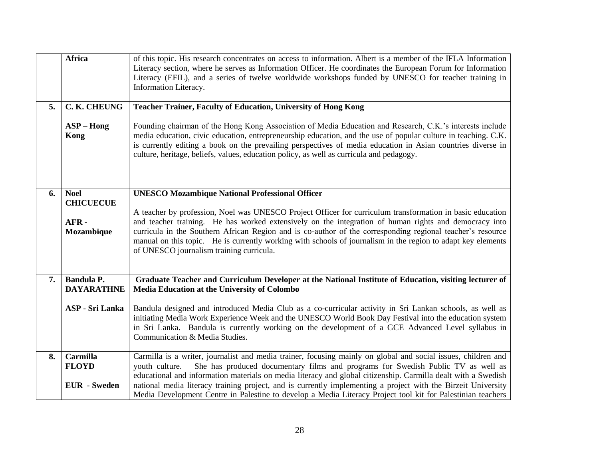|    | <b>Africa</b>                          | of this topic. His research concentrates on access to information. Albert is a member of the IFLA Information<br>Literacy section, where he serves as Information Officer. He coordinates the European Forum for Information<br>Literacy (EFIL), and a series of twelve worldwide workshops funded by UNESCO for teacher training in<br>Information Literacy.                                                                         |
|----|----------------------------------------|---------------------------------------------------------------------------------------------------------------------------------------------------------------------------------------------------------------------------------------------------------------------------------------------------------------------------------------------------------------------------------------------------------------------------------------|
| 5. | C. K. CHEUNG                           | <b>Teacher Trainer, Faculty of Education, University of Hong Kong</b>                                                                                                                                                                                                                                                                                                                                                                 |
|    | $ASP - Hong$<br>Kong                   | Founding chairman of the Hong Kong Association of Media Education and Research, C.K.'s interests include<br>media education, civic education, entrepreneurship education, and the use of popular culture in teaching. C.K.<br>is currently editing a book on the prevailing perspectives of media education in Asian countries diverse in<br>culture, heritage, beliefs, values, education policy, as well as curricula and pedagogy. |
| 6. | <b>Noel</b>                            | <b>UNESCO Mozambique National Professional Officer</b>                                                                                                                                                                                                                                                                                                                                                                                |
|    | <b>CHICUECUE</b>                       | A teacher by profession, Noel was UNESCO Project Officer for curriculum transformation in basic education                                                                                                                                                                                                                                                                                                                             |
|    | AFR-                                   | and teacher training. He has worked extensively on the integration of human rights and democracy into                                                                                                                                                                                                                                                                                                                                 |
|    | Mozambique                             | curricula in the Southern African Region and is co-author of the corresponding regional teacher's resource<br>manual on this topic. He is currently working with schools of journalism in the region to adapt key elements<br>of UNESCO journalism training curricula.                                                                                                                                                                |
| 7. | <b>Bandula P.</b><br><b>DAYARATHNE</b> | Graduate Teacher and Curriculum Developer at the National Institute of Education, visiting lecturer of<br><b>Media Education at the University of Colombo</b>                                                                                                                                                                                                                                                                         |
|    | <b>ASP</b> - Sri Lanka                 | Bandula designed and introduced Media Club as a co-curricular activity in Sri Lankan schools, as well as<br>initiating Media Work Experience Week and the UNESCO World Book Day Festival into the education system<br>in Sri Lanka. Bandula is currently working on the development of a GCE Advanced Level syllabus in<br>Communication & Media Studies.                                                                             |
| 8. | <b>Carmilla</b>                        | Carmilla is a writer, journalist and media trainer, focusing mainly on global and social issues, children and                                                                                                                                                                                                                                                                                                                         |
|    | <b>FLOYD</b>                           | She has produced documentary films and programs for Swedish Public TV as well as<br>youth culture.<br>educational and information materials on media literacy and global citizenship. Carmilla dealt with a Swedish                                                                                                                                                                                                                   |
|    | <b>EUR</b> - Sweden                    | national media literacy training project, and is currently implementing a project with the Birzeit University                                                                                                                                                                                                                                                                                                                         |
|    |                                        | Media Development Centre in Palestine to develop a Media Literacy Project tool kit for Palestinian teachers                                                                                                                                                                                                                                                                                                                           |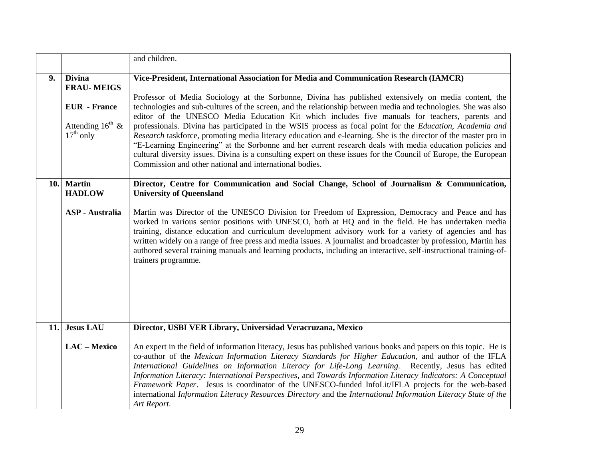|      |                                                                    | and children.                                                                                                                                                                                                                                                                                                                                                                                                                                                                                                                                                                                                                                                                                                                                                                                                                                                |
|------|--------------------------------------------------------------------|--------------------------------------------------------------------------------------------------------------------------------------------------------------------------------------------------------------------------------------------------------------------------------------------------------------------------------------------------------------------------------------------------------------------------------------------------------------------------------------------------------------------------------------------------------------------------------------------------------------------------------------------------------------------------------------------------------------------------------------------------------------------------------------------------------------------------------------------------------------|
| 9.   | <b>Divina</b>                                                      | Vice-President, International Association for Media and Communication Research (IAMCR)                                                                                                                                                                                                                                                                                                                                                                                                                                                                                                                                                                                                                                                                                                                                                                       |
|      | <b>FRAU-MEIGS</b>                                                  |                                                                                                                                                                                                                                                                                                                                                                                                                                                                                                                                                                                                                                                                                                                                                                                                                                                              |
|      | <b>EUR</b> - France<br>Attending $16^{\text{th}}$ &<br>$17th$ only | Professor of Media Sociology at the Sorbonne, Divina has published extensively on media content, the<br>technologies and sub-cultures of the screen, and the relationship between media and technologies. She was also<br>editor of the UNESCO Media Education Kit which includes five manuals for teachers, parents and<br>professionals. Divina has participated in the WSIS process as focal point for the <i>Education</i> , Academia and<br>Research taskforce, promoting media literacy education and e-learning. She is the director of the master pro in<br>"E-Learning Engineering" at the Sorbonne and her current research deals with media education policies and<br>cultural diversity issues. Divina is a consulting expert on these issues for the Council of Europe, the European<br>Commission and other national and international bodies. |
|      |                                                                    |                                                                                                                                                                                                                                                                                                                                                                                                                                                                                                                                                                                                                                                                                                                                                                                                                                                              |
| 10.1 | <b>Martin</b><br><b>HADLOW</b>                                     | Director, Centre for Communication and Social Change, School of Journalism & Communication,<br><b>University of Queensland</b>                                                                                                                                                                                                                                                                                                                                                                                                                                                                                                                                                                                                                                                                                                                               |
|      | <b>ASP</b> - Australia                                             | Martin was Director of the UNESCO Division for Freedom of Expression, Democracy and Peace and has<br>worked in various senior positions with UNESCO, both at HQ and in the field. He has undertaken media<br>training, distance education and curriculum development advisory work for a variety of agencies and has<br>written widely on a range of free press and media issues. A journalist and broadcaster by profession, Martin has<br>authored several training manuals and learning products, including an interactive, self-instructional training-of-<br>trainers programme.                                                                                                                                                                                                                                                                        |
| 11.  | <b>Jesus LAU</b>                                                   | Director, USBI VER Library, Universidad Veracruzana, Mexico                                                                                                                                                                                                                                                                                                                                                                                                                                                                                                                                                                                                                                                                                                                                                                                                  |
|      | LAC - Mexico                                                       | An expert in the field of information literacy, Jesus has published various books and papers on this topic. He is<br>co-author of the Mexican Information Literacy Standards for Higher Education, and author of the IFLA<br>International Guidelines on Information Literacy for Life-Long Learning. Recently, Jesus has edited<br>Information Literacy: International Perspectives, and Towards Information Literacy Indicators: A Conceptual<br>Framework Paper. Jesus is coordinator of the UNESCO-funded InfoLit/IFLA projects for the web-based<br>international Information Literacy Resources Directory and the International Information Literacy State of the<br>Art Report.                                                                                                                                                                       |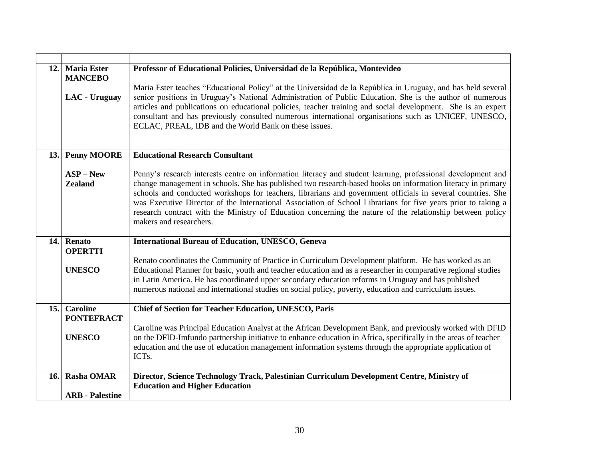| 12.  | <b>Maria Ester</b>     | Professor of Educational Policies, Universidad de la República, Montevideo                                                                                                                                                   |
|------|------------------------|------------------------------------------------------------------------------------------------------------------------------------------------------------------------------------------------------------------------------|
|      | <b>MANCEBO</b>         |                                                                                                                                                                                                                              |
|      |                        | Maria Ester teaches "Educational Policy" at the Universidad de la República in Uruguay, and has held several<br>senior positions in Uruguay's National Administration of Public Education. She is the author of numerous     |
|      | LAC - Uruguay          | articles and publications on educational policies, teacher training and social development. She is an expert                                                                                                                 |
|      |                        | consultant and has previously consulted numerous international organisations such as UNICEF, UNESCO,                                                                                                                         |
|      |                        | ECLAC, PREAL, IDB and the World Bank on these issues.                                                                                                                                                                        |
|      |                        |                                                                                                                                                                                                                              |
|      |                        |                                                                                                                                                                                                                              |
| 13.1 | <b>Penny MOORE</b>     | <b>Educational Research Consultant</b>                                                                                                                                                                                       |
|      | $ASP - New$            | Penny's research interests centre on information literacy and student learning, professional development and                                                                                                                 |
|      | <b>Zealand</b>         | change management in schools. She has published two research-based books on information literacy in primary                                                                                                                  |
|      |                        | schools and conducted workshops for teachers, librarians and government officials in several countries. She                                                                                                                  |
|      |                        | was Executive Director of the International Association of School Librarians for five years prior to taking a                                                                                                                |
|      |                        | research contract with the Ministry of Education concerning the nature of the relationship between policy<br>makers and researchers.                                                                                         |
|      |                        |                                                                                                                                                                                                                              |
|      | 14. Renato             | <b>International Bureau of Education, UNESCO, Geneva</b>                                                                                                                                                                     |
|      | <b>OPERTTI</b>         |                                                                                                                                                                                                                              |
|      |                        | Renato coordinates the Community of Practice in Curriculum Development platform. He has worked as an                                                                                                                         |
|      | <b>UNESCO</b>          | Educational Planner for basic, youth and teacher education and as a researcher in comparative regional studies<br>in Latin America. He has coordinated upper secondary education reforms in Uruguay and has published        |
|      |                        | numerous national and international studies on social policy, poverty, education and curriculum issues.                                                                                                                      |
|      |                        |                                                                                                                                                                                                                              |
| 15.  | <b>Caroline</b>        | <b>Chief of Section for Teacher Education, UNESCO, Paris</b>                                                                                                                                                                 |
|      | <b>PONTEFRACT</b>      |                                                                                                                                                                                                                              |
|      | <b>UNESCO</b>          | Caroline was Principal Education Analyst at the African Development Bank, and previously worked with DFID<br>on the DFID-Imfundo partnership initiative to enhance education in Africa, specifically in the areas of teacher |
|      |                        | education and the use of education management information systems through the appropriate application of                                                                                                                     |
|      |                        | ICT <sub>s</sub> .                                                                                                                                                                                                           |
|      |                        |                                                                                                                                                                                                                              |
| 16.  | <b>Rasha OMAR</b>      | Director, Science Technology Track, Palestinian Curriculum Development Centre, Ministry of                                                                                                                                   |
|      | <b>ARB</b> - Palestine | <b>Education and Higher Education</b>                                                                                                                                                                                        |
|      |                        |                                                                                                                                                                                                                              |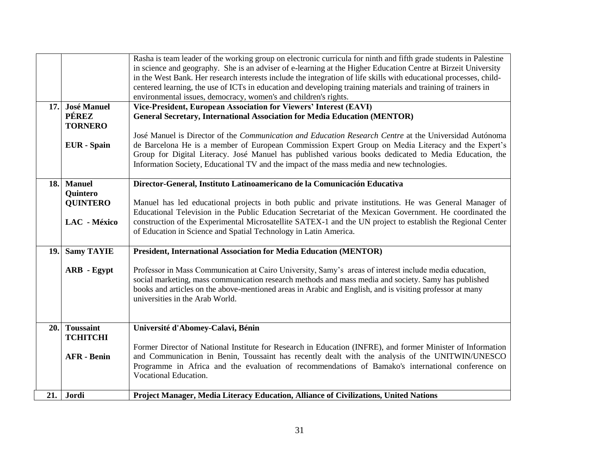|      |                    | Rasha is team leader of the working group on electronic curricula for ninth and fifth grade students in Palestine  |
|------|--------------------|--------------------------------------------------------------------------------------------------------------------|
|      |                    | in science and geography. She is an adviser of e-learning at the Higher Education Centre at Birzeit University     |
|      |                    | in the West Bank. Her research interests include the integration of life skills with educational processes, child- |
|      |                    | centered learning, the use of ICTs in education and developing training materials and training of trainers in      |
|      |                    | environmental issues, democracy, women's and children's rights.                                                    |
| 17.1 | <b>José Manuel</b> | Vice-President, European Association for Viewers' Interest (EAVI)                                                  |
|      | <b>PÉREZ</b>       | <b>General Secretary, International Association for Media Education (MENTOR)</b>                                   |
|      | <b>TORNERO</b>     |                                                                                                                    |
|      |                    | José Manuel is Director of the Communication and Education Research Centre at the Universidad Autónoma             |
|      | <b>EUR</b> - Spain | de Barcelona He is a member of European Commission Expert Group on Media Literacy and the Expert's                 |
|      |                    | Group for Digital Literacy. José Manuel has published various books dedicated to Media Education, the              |
|      |                    | Information Society, Educational TV and the impact of the mass media and new technologies.                         |
|      |                    |                                                                                                                    |
| 18.  | <b>Manuel</b>      | Director-General, Instituto Latinoamericano de la Comunicación Educativa                                           |
|      | <b>Quintero</b>    |                                                                                                                    |
|      | <b>QUINTERO</b>    | Manuel has led educational projects in both public and private institutions. He was General Manager of             |
|      |                    | Educational Television in the Public Education Secretariat of the Mexican Government. He coordinated the           |
|      | LAC - México       | construction of the Experimental Microsatellite SATEX-1 and the UN project to establish the Regional Center        |
|      |                    | of Education in Science and Spatial Technology in Latin America.                                                   |
|      |                    |                                                                                                                    |
| 19.  | <b>Samy TAYIE</b>  | President, International Association for Media Education (MENTOR)                                                  |
|      |                    |                                                                                                                    |
|      | <b>ARB</b> - Egypt | Professor in Mass Communication at Cairo University, Samy's areas of interest include media education,             |
|      |                    | social marketing, mass communication research methods and mass media and society. Samy has published               |
|      |                    | books and articles on the above-mentioned areas in Arabic and English, and is visiting professor at many           |
|      |                    | universities in the Arab World.                                                                                    |
|      |                    |                                                                                                                    |
|      |                    |                                                                                                                    |
| 20.  | <b>Toussaint</b>   | Université d'Abomey-Calavi, Bénin                                                                                  |
|      | <b>ТСНІТСНІ</b>    |                                                                                                                    |
|      |                    | Former Director of National Institute for Research in Education (INFRE), and former Minister of Information        |
|      | <b>AFR</b> - Benin | and Communication in Benin, Toussaint has recently dealt with the analysis of the UNITWIN/UNESCO                   |
|      |                    | Programme in Africa and the evaluation of recommendations of Bamako's international conference on                  |
|      |                    | Vocational Education.                                                                                              |
|      |                    |                                                                                                                    |
|      | 21. Jordi          | Project Manager, Media Literacy Education, Alliance of Civilizations, United Nations                               |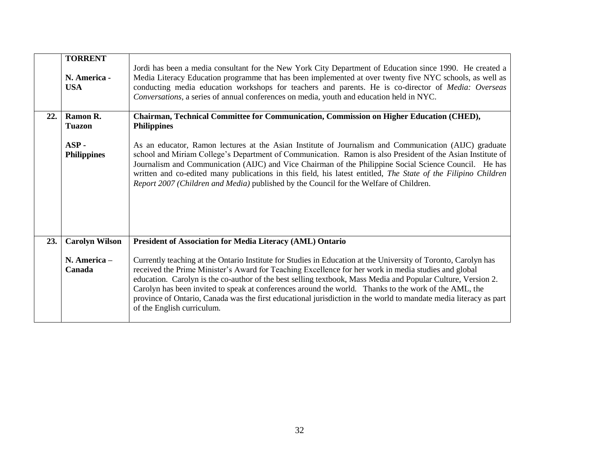|     | <b>TORRENT</b><br>N. America -<br><b>USA</b> | Jordi has been a media consultant for the New York City Department of Education since 1990. He created a<br>Media Literacy Education programme that has been implemented at over twenty five NYC schools, as well as<br>conducting media education workshops for teachers and parents. He is co-director of Media: Overseas<br>Conversations, a series of annual conferences on media, youth and education held in NYC.                                                                                                                                                                            |
|-----|----------------------------------------------|----------------------------------------------------------------------------------------------------------------------------------------------------------------------------------------------------------------------------------------------------------------------------------------------------------------------------------------------------------------------------------------------------------------------------------------------------------------------------------------------------------------------------------------------------------------------------------------------------|
| 22. | Ramon R.<br><b>Tuazon</b>                    | Chairman, Technical Committee for Communication, Commission on Higher Education (CHED),<br><b>Philippines</b>                                                                                                                                                                                                                                                                                                                                                                                                                                                                                      |
|     | $ASP -$<br><b>Philippines</b>                | As an educator, Ramon lectures at the Asian Institute of Journalism and Communication (AIJC) graduate<br>school and Miriam College's Department of Communication. Ramon is also President of the Asian Institute of<br>Journalism and Communication (AIJC) and Vice Chairman of the Philippine Social Science Council. He has<br>written and co-edited many publications in this field, his latest entitled, The State of the Filipino Children<br>Report 2007 (Children and Media) published by the Council for the Welfare of Children.                                                          |
| 23. | <b>Carolyn Wilson</b>                        | President of Association for Media Literacy (AML) Ontario                                                                                                                                                                                                                                                                                                                                                                                                                                                                                                                                          |
|     | N. America -<br>Canada                       | Currently teaching at the Ontario Institute for Studies in Education at the University of Toronto, Carolyn has<br>received the Prime Minister's Award for Teaching Excellence for her work in media studies and global<br>education. Carolyn is the co-author of the best selling textbook, Mass Media and Popular Culture, Version 2.<br>Carolyn has been invited to speak at conferences around the world. Thanks to the work of the AML, the<br>province of Ontario, Canada was the first educational jurisdiction in the world to mandate media literacy as part<br>of the English curriculum. |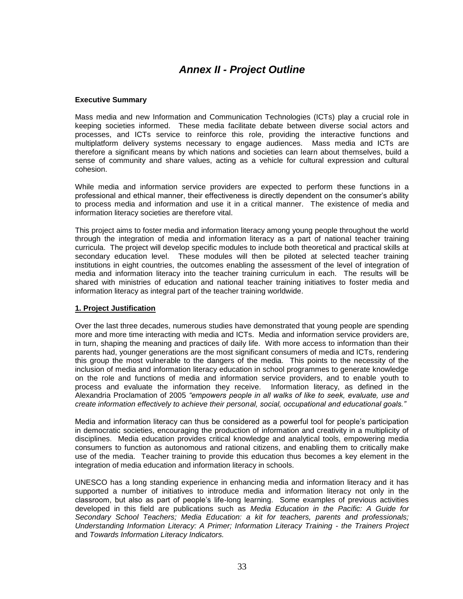# *Annex II - Project Outline*

### <span id="page-32-0"></span>**Executive Summary**

Mass media and new Information and Communication Technologies (ICTs) play a crucial role in keeping societies informed. These media facilitate debate between diverse social actors and processes, and ICTs service to reinforce this role, providing the interactive functions and multiplatform delivery systems necessary to engage audiences. Mass media and ICTs are therefore a significant means by which nations and societies can learn about themselves, build a sense of community and share values, acting as a vehicle for cultural expression and cultural cohesion.

While media and information service providers are expected to perform these functions in a professional and ethical manner, their effectiveness is directly dependent on the consumer's ability to process media and information and use it in a critical manner. The existence of media and information literacy societies are therefore vital.

This project aims to foster media and information literacy among young people throughout the world through the integration of media and information literacy as a part of national teacher training curricula. The project will develop specific modules to include both theoretical and practical skills at secondary education level. These modules will then be piloted at selected teacher training institutions in eight countries, the outcomes enabling the assessment of the level of integration of media and information literacy into the teacher training curriculum in each. The results will be shared with ministries of education and national teacher training initiatives to foster media and information literacy as integral part of the teacher training worldwide.

### **1. Project Justification**

Over the last three decades, numerous studies have demonstrated that young people are spending more and more time interacting with media and ICTs. Media and information service providers are, in turn, shaping the meaning and practices of daily life. With more access to information than their parents had, younger generations are the most significant consumers of media and ICTs, rendering this group the most vulnerable to the dangers of the media. This points to the necessity of the inclusion of media and information literacy education in school programmes to generate knowledge on the role and functions of media and information service providers, and to enable youth to process and evaluate the information they receive. Information literacy, as defined in the Alexandria Proclamation of 2005 *"empowers people in all walks of like to seek, evaluate, use and create information effectively to achieve their personal, social, occupational and educational goals."*

Media and information literacy can thus be considered as a powerful tool for people's participation in democratic societies, encouraging the production of information and creativity in a multiplicity of disciplines. Media education provides critical knowledge and analytical tools, empowering media consumers to function as autonomous and rational citizens, and enabling them to critically make use of the media. Teacher training to provide this education thus becomes a key element in the integration of media education and information literacy in schools.

UNESCO has a long standing experience in enhancing media and information literacy and it has supported a number of initiatives to introduce media and information literacy not only in the classroom, but also as part of people's life-long learning. Some examples of previous activities developed in this field are publications such as *Media Education in the Pacific: A Guide for Secondary School Teachers; Media Education: a kit for teachers, parents and professionals; Understanding Information Literacy: A Primer; Information Literacy Training - the Trainers Project*  and *Towards Information Literacy Indicators.*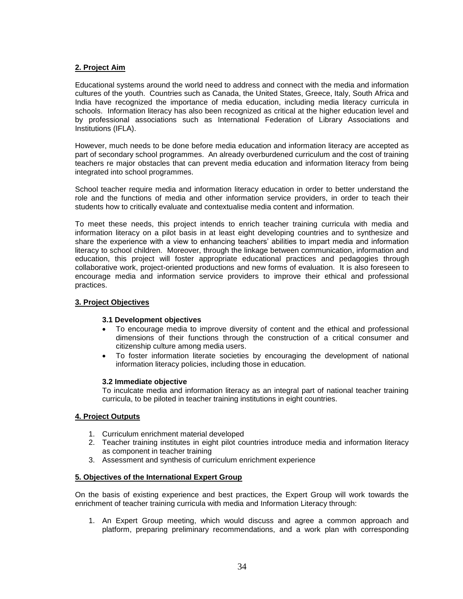### **2. Project Aim**

Educational systems around the world need to address and connect with the media and information cultures of the youth. Countries such as Canada, the United States, Greece, Italy, South Africa and India have recognized the importance of media education, including media literacy curricula in schools. Information literacy has also been recognized as critical at the higher education level and by professional associations such as International Federation of Library Associations and Institutions (IFLA).

However, much needs to be done before media education and information literacy are accepted as part of secondary school programmes. An already overburdened curriculum and the cost of training teachers re major obstacles that can prevent media education and information literacy from being integrated into school programmes.

School teacher require media and information literacy education in order to better understand the role and the functions of media and other information service providers, in order to teach their students how to critically evaluate and contextualise media content and information.

To meet these needs, this project intends to enrich teacher training curricula with media and information literacy on a pilot basis in at least eight developing countries and to synthesize and share the experience with a view to enhancing teachers' abilities to impart media and information literacy to school children. Moreover, through the linkage between communication, information and education, this project will foster appropriate educational practices and pedagogies through collaborative work, project-oriented productions and new forms of evaluation. It is also foreseen to encourage media and information service providers to improve their ethical and professional practices.

### **3. Project Objectives**

### **3.1 Development objectives**

- To encourage media to improve diversity of content and the ethical and professional dimensions of their functions through the construction of a critical consumer and citizenship culture among media users.
- To foster information literate societies by encouraging the development of national information literacy policies, including those in education.

### **3.2 Immediate objective**

To inculcate media and information literacy as an integral part of national teacher training curricula, to be piloted in teacher training institutions in eight countries.

### **4. Project Outputs**

- 1. Curriculum enrichment material developed
- 2. Teacher training institutes in eight pilot countries introduce media and information literacy as component in teacher training
- 3. Assessment and synthesis of curriculum enrichment experience

### **5. Objectives of the International Expert Group**

On the basis of existing experience and best practices, the Expert Group will work towards the enrichment of teacher training curricula with media and Information Literacy through:

1. An Expert Group meeting, which would discuss and agree a common approach and platform, preparing preliminary recommendations, and a work plan with corresponding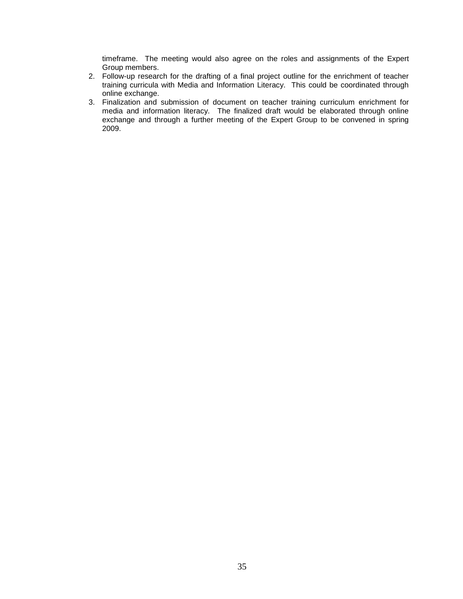timeframe. The meeting would also agree on the roles and assignments of the Expert Group members.

- 2. Follow-up research for the drafting of a final project outline for the enrichment of teacher training curricula with Media and Information Literacy. This could be coordinated through online exchange.
- 3. Finalization and submission of document on teacher training curriculum enrichment for media and information literacy. The finalized draft would be elaborated through online exchange and through a further meeting of the Expert Group to be convened in spring 2009.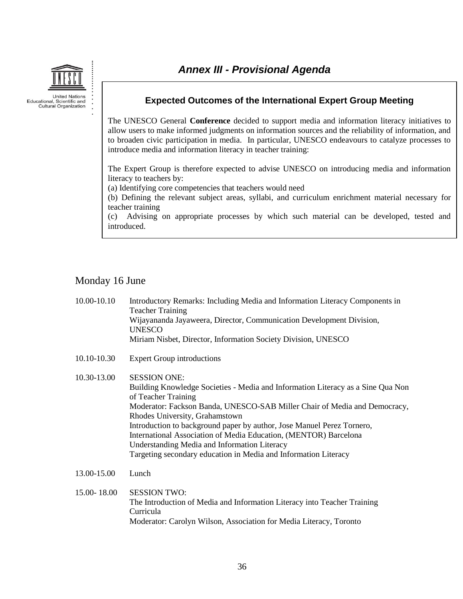

## <span id="page-35-0"></span>**Expected Outcomes of the International Expert Group Meeting**

The UNESCO General **Conference** decided to support media and information literacy initiatives to allow users to make informed judgments on information sources and the reliability of information, and to broaden civic participation in media. In particular, UNESCO endeavours to catalyze processes to introduce media and information literacy in teacher training:

The Expert Group is therefore expected to advise UNESCO on introducing media and information literacy to teachers by:

(a) Identifying core competencies that teachers would need

(b) Defining the relevant subject areas, syllabi, and curriculum enrichment material necessary for teacher training

(c) Advising on appropriate processes by which such material can be developed, tested and introduced.

## Monday 16 June

Curricula

| 10.00-10.10 | Introductory Remarks: Including Media and Information Literacy Components in<br><b>Teacher Training</b><br>Wijayananda Jayaweera, Director, Communication Development Division,<br><b>UNESCO</b><br>Miriam Nisbet, Director, Information Society Division, UNESCO                                                                                                                                                                                                                                             |
|-------------|---------------------------------------------------------------------------------------------------------------------------------------------------------------------------------------------------------------------------------------------------------------------------------------------------------------------------------------------------------------------------------------------------------------------------------------------------------------------------------------------------------------|
| 10.10-10.30 | <b>Expert Group introductions</b>                                                                                                                                                                                                                                                                                                                                                                                                                                                                             |
| 10.30-13.00 | <b>SESSION ONE:</b><br>Building Knowledge Societies - Media and Information Literacy as a Sine Qua Non<br>of Teacher Training<br>Moderator: Fackson Banda, UNESCO-SAB Miller Chair of Media and Democracy,<br>Rhodes University, Grahamstown<br>Introduction to background paper by author, Jose Manuel Perez Tornero,<br>International Association of Media Education, (MENTOR) Barcelona<br>Understanding Media and Information Literacy<br>Targeting secondary education in Media and Information Literacy |
| 13.00-15.00 | Lunch                                                                                                                                                                                                                                                                                                                                                                                                                                                                                                         |
| 15.00-18.00 | <b>SESSION TWO:</b><br>The Introduction of Media and Information Literacy into Teacher Training                                                                                                                                                                                                                                                                                                                                                                                                               |

Moderator: Carolyn Wilson, Association for Media Literacy, Toronto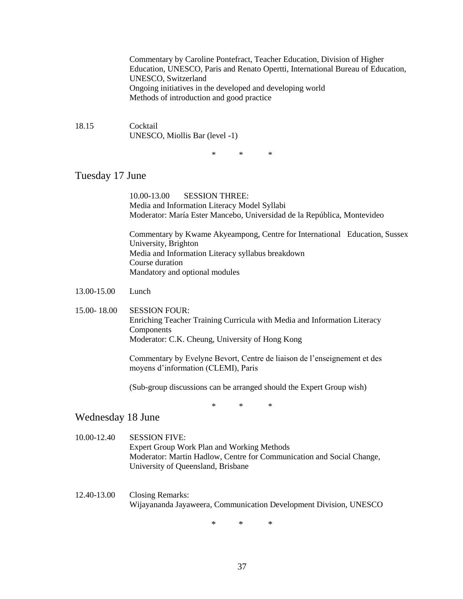Commentary by Caroline Pontefract, Teacher Education, Division of Higher Education, UNESCO, Paris and Renato Opertti, International Bureau of Education, UNESCO, Switzerland Ongoing initiatives in the developed and developing world Methods of introduction and good practice

18.15 Cocktail UNESCO, Miollis Bar (level -1)

\* \* \*

## Tuesday 17 June

10.00-13.00 SESSION THREE: Media and Information Literacy Model Syllabi Moderator: María Ester Mancebo, Universidad de la República, Montevideo

Commentary by Kwame Akyeampong, Centre for International Education, Sussex University, Brighton Media and Information Literacy syllabus breakdown Course duration Mandatory and optional modules

- 13.00-15.00 Lunch
- 15.00- 18.00 SESSION FOUR: Enriching Teacher Training Curricula with Media and Information Literacy **Components** Moderator: C.K. Cheung, University of Hong Kong

Commentary by Evelyne Bevort, Centre de liaison de l'enseignement et des moyens d'information (CLEMI), Paris

(Sub-group discussions can be arranged should the Expert Group wish)

\* \* \*

## Wednesday 18 June

- 10.00-12.40 SESSION FIVE: Expert Group Work Plan and Working Methods Moderator: Martin Hadlow, Centre for Communication and Social Change, University of Queensland, Brisbane
- 12.40-13.00 Closing Remarks: Wijayananda Jayaweera, Communication Development Division, UNESCO

\* \* \*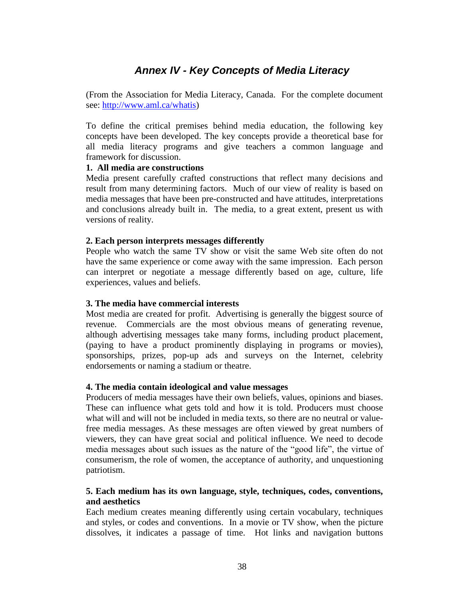# *Annex IV - Key Concepts of Media Literacy*

<span id="page-37-0"></span>(From the Association for Media Literacy, Canada. For the complete document see: [http://www.aml.ca/whatis\)](http://www.aml.ca/whatis)

To define the critical premises behind media education, the following key concepts have been developed. The key concepts provide a theoretical base for all media literacy programs and give teachers a common language and framework for discussion.

### **1. All media are constructions**

Media present carefully crafted constructions that reflect many decisions and result from many determining factors. Much of our view of reality is based on media messages that have been pre-constructed and have attitudes, interpretations and conclusions already built in. The media, to a great extent, present us with versions of reality.

### **2. Each person interprets messages differently**

People who watch the same TV show or visit the same Web site often do not have the same experience or come away with the same impression. Each person can interpret or negotiate a message differently based on age, culture, life experiences, values and beliefs.

### **3. The media have commercial interests**

Most media are created for profit. Advertising is generally the biggest source of revenue. Commercials are the most obvious means of generating revenue, although advertising messages take many forms, including product placement, (paying to have a product prominently displaying in programs or movies), sponsorships, prizes, pop-up ads and surveys on the Internet, celebrity endorsements or naming a stadium or theatre.

### **4. The media contain ideological and value messages**

Producers of media messages have their own beliefs, values, opinions and biases. These can influence what gets told and how it is told. Producers must choose what will and will not be included in media texts, so there are no neutral or valuefree media messages. As these messages are often viewed by great numbers of viewers, they can have great social and political influence. We need to decode media messages about such issues as the nature of the "good life", the virtue of consumerism, the role of women, the acceptance of authority, and unquestioning patriotism.

## **5. Each medium has its own language, style, techniques, codes, conventions, and aesthetics**

Each medium creates meaning differently using certain vocabulary, techniques and styles, or codes and conventions. In a movie or TV show, when the picture dissolves, it indicates a passage of time. Hot links and navigation buttons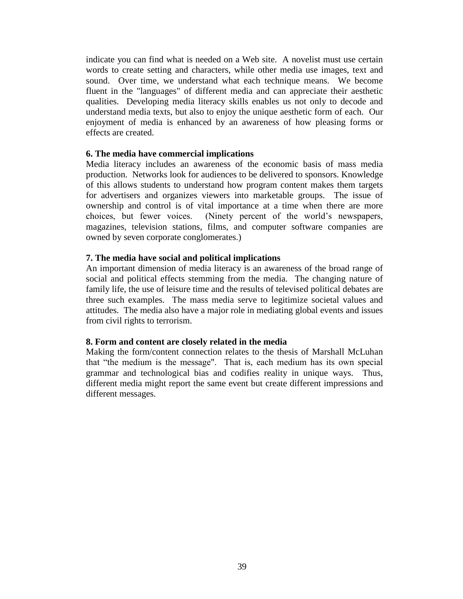indicate you can find what is needed on a Web site. A novelist must use certain words to create setting and characters, while other media use images, text and sound. Over time, we understand what each technique means. We become fluent in the "languages" of different media and can appreciate their aesthetic qualities. Developing media literacy skills enables us not only to decode and understand media texts, but also to enjoy the unique aesthetic form of each. Our enjoyment of media is enhanced by an awareness of how pleasing forms or effects are created.

### **6. The media have commercial implications**

Media literacy includes an awareness of the economic basis of mass media production. Networks look for audiences to be delivered to sponsors. Knowledge of this allows students to understand how program content makes them targets for advertisers and organizes viewers into marketable groups. The issue of ownership and control is of vital importance at a time when there are more choices, but fewer voices. (Ninety percent of the world's newspapers, magazines, television stations, films, and computer software companies are owned by seven corporate conglomerates.)

### **7. The media have social and political implications**

An important dimension of media literacy is an awareness of the broad range of social and political effects stemming from the media. The changing nature of family life, the use of leisure time and the results of televised political debates are three such examples. The mass media serve to legitimize societal values and attitudes. The media also have a major role in mediating global events and issues from civil rights to terrorism.

## **8. Form and content are closely related in the media**

Making the form/content connection relates to the thesis of Marshall McLuhan that "the medium is the message". That is, each medium has its own special grammar and technological bias and codifies reality in unique ways. Thus, different media might report the same event but create different impressions and different messages.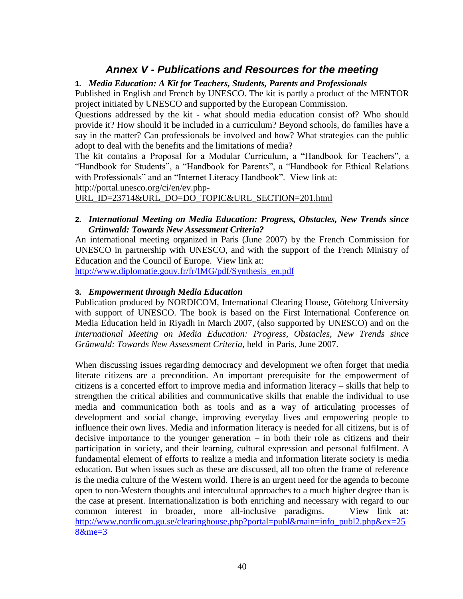# *Annex V - Publications and Resources for the meeting*

## <span id="page-39-0"></span>**1.** *Media Education: A Kit for Teachers, Students, Parents and Professionals*

Published in English and French by UNESCO. The kit is partly a product of the MENTOR project initiated by UNESCO and supported by the European Commission.

Questions addressed by the kit - what should media education consist of? Who should provide it? How should it be included in a curriculum? Beyond schools, do families have a say in the matter? Can professionals be involved and how? What strategies can the public adopt to deal with the benefits and the limitations of media?

The kit contains a Proposal for a Modular Curriculum, a "Handbook for Teachers", a "Handbook for Students", a "Handbook for Parents", a "Handbook for Ethical Relations with Professionals" and an "Internet Literacy Handbook". View link at:

[http://portal.unesco.org/ci/en/ev.php-](http://portal.unesco.org/ci/en/ev.php-URL_ID=23714&URL_DO=DO_TOPIC&URL_SECTION=201.html)

[URL\\_ID=23714&URL\\_DO=DO\\_TOPIC&URL\\_SECTION=201.html](http://portal.unesco.org/ci/en/ev.php-URL_ID=23714&URL_DO=DO_TOPIC&URL_SECTION=201.html)

## **2.** *International Meeting on Media Education: Progress, Obstacles, New Trends since Grünwald: Towards New Assessment Criteria?*

An international meeting organized in Paris (June 2007) by the French Commission for UNESCO in partnership with UNESCO, and with the support of the French Ministry of Education and the Council of Europe. View link at:

[http://www.diplomatie.gouv.fr/fr/IMG/pdf/Synthesis\\_en.pdf](http://www.diplomatie.gouv.fr/fr/IMG/pdf/Synthesis_en.pdf)

## **3.** *Empowerment through Media Education*

Publication produced by NORDICOM, International Clearing House, Göteborg University with support of UNESCO. The book is based on the First International Conference on Media Education held in Riyadh in March 2007, (also supported by UNESCO) and on the *International Meeting on Media Education: Progress, Obstacles, New Trends since Grünwald: Towards New Assessment Criteria,* held in Paris, June 2007.

When discussing issues regarding democracy and development we often forget that media literate citizens are a precondition. An important prerequisite for the empowerment of citizens is a concerted effort to improve media and information literacy – skills that help to strengthen the critical abilities and communicative skills that enable the individual to use media and communication both as tools and as a way of articulating processes of development and social change, improving everyday lives and empowering people to influence their own lives. Media and information literacy is needed for all citizens, but is of decisive importance to the younger generation – in both their role as citizens and their participation in society, and their learning, cultural expression and personal fulfilment. A fundamental element of efforts to realize a media and information literate society is media education. But when issues such as these are discussed, all too often the frame of reference is the media culture of the Western world. There is an urgent need for the agenda to become open to non-Western thoughts and intercultural approaches to a much higher degree than is the case at present. Internationalization is both enriching and necessary with regard to our common interest in broader, more all-inclusive paradigms. View link at: [http://www.nordicom.gu.se/clearinghouse.php?portal=publ&main=info\\_publ2.php&ex=25](http://www.nordicom.gu.se/clearinghouse.php?portal=publ&main=info_publ2.php&ex=258&me=3) [8&me=3](http://www.nordicom.gu.se/clearinghouse.php?portal=publ&main=info_publ2.php&ex=258&me=3)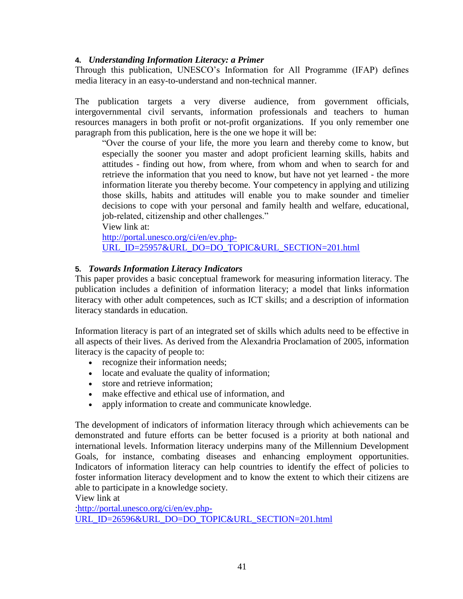## **4.** *Understanding Information Literacy: a Primer*

Through this publication, UNESCO's Information for All Programme (IFAP) defines media literacy in an easy-to-understand and non-technical manner.

The publication targets a very diverse audience, from government officials, intergovernmental civil servants, information professionals and teachers to human resources managers in both profit or not-profit organizations. If you only remember one paragraph from this publication, here is the one we hope it will be:

"Over the course of your life, the more you learn and thereby come to know, but especially the sooner you master and adopt proficient learning skills, habits and attitudes - finding out how, from where, from whom and when to search for and retrieve the information that you need to know, but have not yet learned - the more information literate you thereby become. Your competency in applying and utilizing those skills, habits and attitudes will enable you to make sounder and timelier decisions to cope with your personal and family health and welfare, educational, job-related, citizenship and other challenges."

View link at:

[http://portal.unesco.org/ci/en/ev.php-](http://portal.unesco.org/ci/en/ev.php-URL_ID=25957&URL_DO=DO_TOPIC&URL_SECTION=201.html)[URL\\_ID=25957&URL\\_DO=DO\\_TOPIC&URL\\_SECTION=201.html](http://portal.unesco.org/ci/en/ev.php-URL_ID=25957&URL_DO=DO_TOPIC&URL_SECTION=201.html)

## **5.** *Towards Information Literacy Indicators*

This paper provides a basic conceptual framework for measuring information literacy. The publication includes a definition of information literacy; a model that links information literacy with other adult competences, such as ICT skills; and a description of information literacy standards in education.

Information literacy is part of an integrated set of skills which adults need to be effective in all aspects of their lives. As derived from the Alexandria Proclamation of 2005, information literacy is the capacity of people to:

- recognize their information needs;
- locate and evaluate the quality of information;
- store and retrieve information:
- make effective and ethical use of information, and
- apply information to create and communicate knowledge.

The development of indicators of information literacy through which achievements can be demonstrated and future efforts can be better focused is a priority at both national and international levels. Information literacy underpins many of the Millennium Development Goals, for instance, combating diseases and enhancing employment opportunities. Indicators of information literacy can help countries to identify the effect of policies to foster information literacy development and to know the extent to which their citizens are able to participate in a knowledge society.

View link at

[:http://portal.unesco.org/ci/en/ev.php-](http://portal.unesco.org/ci/en/ev.php-URL_ID=26596&URL_DO=DO_TOPIC&URL_SECTION=201.html)[URL\\_ID=26596&URL\\_DO=DO\\_TOPIC&URL\\_SECTION=201.html](http://portal.unesco.org/ci/en/ev.php-URL_ID=26596&URL_DO=DO_TOPIC&URL_SECTION=201.html)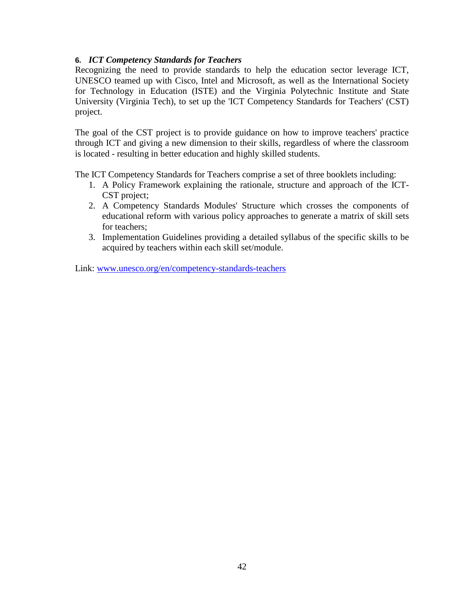## **6.** *ICT Competency Standards for Teachers*

Recognizing the need to provide standards to help the education sector leverage ICT, UNESCO teamed up with Cisco, Intel and Microsoft, as well as the International Society for Technology in Education (ISTE) and the Virginia Polytechnic Institute and State University (Virginia Tech), to set up the 'ICT Competency Standards for Teachers' (CST) project.

The goal of the CST project is to provide guidance on how to improve teachers' practice through ICT and giving a new dimension to their skills, regardless of where the classroom is located - resulting in better education and highly skilled students.

The ICT Competency Standards for Teachers comprise a set of three booklets including:

- 1. A Policy Framework explaining the rationale, structure and approach of the ICT-CST project;
- 2. A Competency Standards Modules' Structure which crosses the components of educational reform with various policy approaches to generate a matrix of skill sets for teachers;
- 3. Implementation Guidelines providing a detailed syllabus of the specific skills to be acquired by teachers within each skill set/module.

Link: [www.unesco.org/en/competency-standards-teachers](http://www.unesco.org/en/competency-standards-teachers)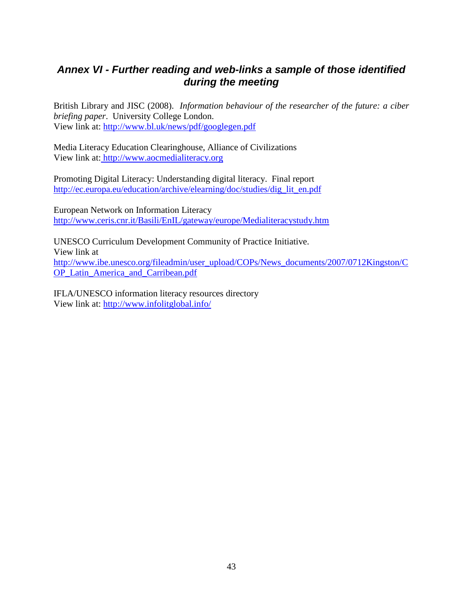# <span id="page-42-0"></span>*Annex VI - Further reading and web-links a sample of those identified during the meeting*

British Library and JISC (2008). *Information behaviour of the researcher of the future: a ciber briefing paper*. University College London. View link at: <http://www.bl.uk/news/pdf/googlegen.pdf>

Media Literacy Education Clearinghouse, Alliance of Civilizations View link at: http://www.aocmedialiteracy.org

Promoting Digital Literacy: Understanding digital literacy. Final report [http://ec.europa.eu/education/archive/elearning/doc/studies/dig\\_lit\\_en.pdf](http://ec.europa.eu/education/archive/elearning/doc/studies/dig_lit_en.pdf)

European Network on Information Literacy <http://www.ceris.cnr.it/Basili/EnIL/gateway/europe/Medialiteracystudy.htm>

UNESCO Curriculum Development Community of Practice Initiative. View link at [http://www.ibe.unesco.org/fileadmin/user\\_upload/COPs/News\\_documents/2007/0712Kingston/C](http://www.ibe.unesco.org/fileadmin/user_upload/COPs/News_documents/2007/0712Kingston/COP_Latin_America_and_Carribean.pdf) OP Latin America and Carribean.pdf

IFLA/UNESCO information literacy resources directory View link at:<http://www.infolitglobal.info/>